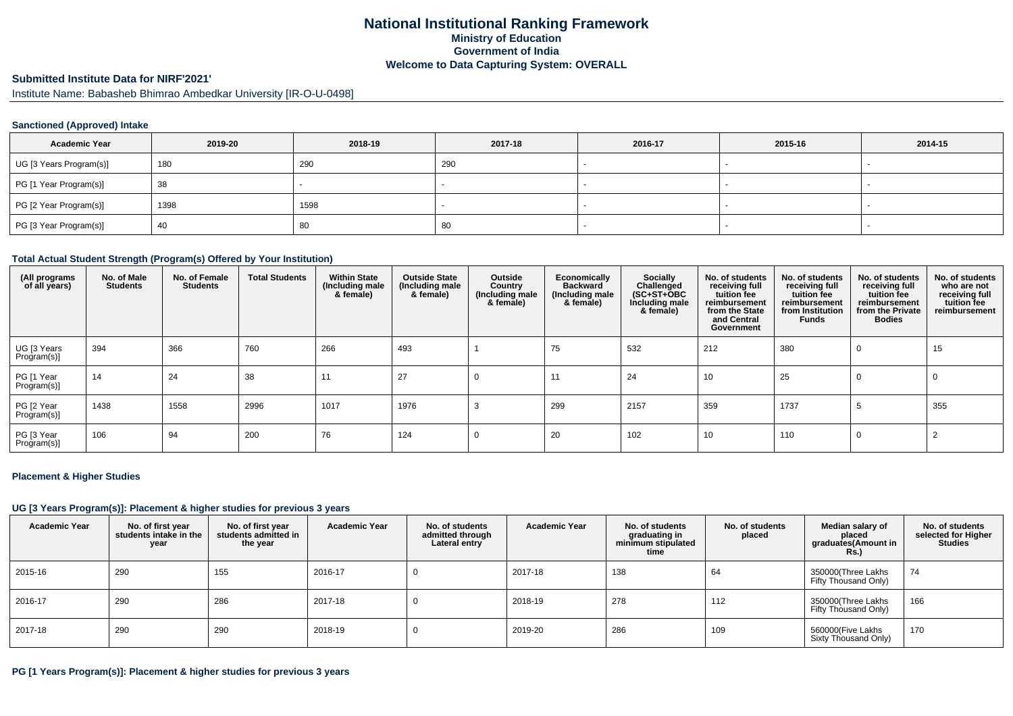## **National Institutional Ranking FrameworkMinistry of Education Government of IndiaWelcome to Data Capturing System: OVERALL**

### **Submitted Institute Data for NIRF'2021'**

Institute Name: Babasheb Bhimrao Ambedkar University [IR-O-U-0498]

### **Sanctioned (Approved) Intake**

| <b>Academic Year</b>    | 2019-20 | 2018-19 | 2017-18 | 2016-17 | 2015-16 | 2014-15 |
|-------------------------|---------|---------|---------|---------|---------|---------|
| UG [3 Years Program(s)] | 180     | 290     | 290     |         |         |         |
| PG [1 Year Program(s)]  | 38      |         |         |         |         |         |
| PG [2 Year Program(s)]  | 1398    | 1598    |         |         |         |         |
| PG [3 Year Program(s)]  | 40      | 80      | -80     |         |         |         |

#### **Total Actual Student Strength (Program(s) Offered by Your Institution)**

| (All programs<br>of all years) | No. of Male<br><b>Students</b> | No. of Female<br><b>Students</b> | <b>Total Students</b> | <b>Within State</b><br>(Including male<br>& female) | <b>Outside State</b><br>(Including male<br>& female) | Outside<br>Country<br>(Including male<br>& female) | Economically<br><b>Backward</b><br>(Including male<br>& female) | <b>Socially</b><br>Challenged<br>$(SC+ST+OBC)$<br>Including male<br>& female) | No. of students<br>receiving full<br>tuition fee<br>reimbursement<br>from the State<br>and Central<br>Government | No. of students<br>receiving full<br>tuition fee<br>reimbursement<br>from Institution<br>Funds | No. of students<br>receiving full<br>tuition fee<br>reimbursement<br>from the Private<br><b>Bodies</b> | No. of students<br>who are not<br>receiving full<br>tuition fee<br>reimbursement |
|--------------------------------|--------------------------------|----------------------------------|-----------------------|-----------------------------------------------------|------------------------------------------------------|----------------------------------------------------|-----------------------------------------------------------------|-------------------------------------------------------------------------------|------------------------------------------------------------------------------------------------------------------|------------------------------------------------------------------------------------------------|--------------------------------------------------------------------------------------------------------|----------------------------------------------------------------------------------|
| UG [3 Years<br>Program(s)]     | 394                            | 366                              | 760                   | 266                                                 | 493                                                  |                                                    | 75                                                              | 532                                                                           | 212                                                                                                              | 380                                                                                            | $\Omega$                                                                                               | 15                                                                               |
| PG [1 Year<br>Program(s)]      | 14                             | 24                               | 38                    | 11                                                  | 27                                                   |                                                    | 11                                                              | 24                                                                            | 10                                                                                                               | 25                                                                                             | 0                                                                                                      | 0                                                                                |
| PG [2 Year<br>Program(s)]      | 1438                           | 1558                             | 2996                  | 1017                                                | 1976                                                 |                                                    | 299                                                             | 2157                                                                          | 359                                                                                                              | 1737                                                                                           | -5                                                                                                     | 355                                                                              |
| PG [3 Year<br>Program(s)]      | 106                            | 94                               | 200                   | 76                                                  | 124                                                  |                                                    | 20                                                              | 102                                                                           | 10                                                                                                               | 110                                                                                            | 0                                                                                                      |                                                                                  |

#### **Placement & Higher Studies**

#### **UG [3 Years Program(s)]: Placement & higher studies for previous 3 years**

| <b>Academic Year</b> | No. of first year<br>students intake in the<br>year | No. of first vear<br>students admitted in<br>the year | <b>Academic Year</b> | No. of students<br>admitted through<br>Lateral entry | <b>Academic Year</b> | No. of students<br>graduating in<br>minimum stipulated<br>time | No. of students<br>placed | Median salary of<br>placed<br>graduates(Amount in<br><b>Rs.)</b> | No. of students<br>selected for Higher<br><b>Studies</b> |
|----------------------|-----------------------------------------------------|-------------------------------------------------------|----------------------|------------------------------------------------------|----------------------|----------------------------------------------------------------|---------------------------|------------------------------------------------------------------|----------------------------------------------------------|
| 2015-16              | 290                                                 | 155                                                   | 2016-17              | υ                                                    | 2017-18              | 138                                                            | 64                        | 350000(Three Lakhs<br>Fifty Thousand Only)                       | 74                                                       |
| 2016-17              | 290                                                 | 286                                                   | 2017-18              | υ                                                    | 2018-19              | 278                                                            | 112                       | 350000(Three Lakhs<br>Fifty Thousand Only)                       | 166                                                      |
| 2017-18              | 290                                                 | 290                                                   | 2018-19              | υ                                                    | 2019-20              | 286                                                            | 109                       | 560000(Five Lakhs<br>Sixty Thousand Only)                        | 170                                                      |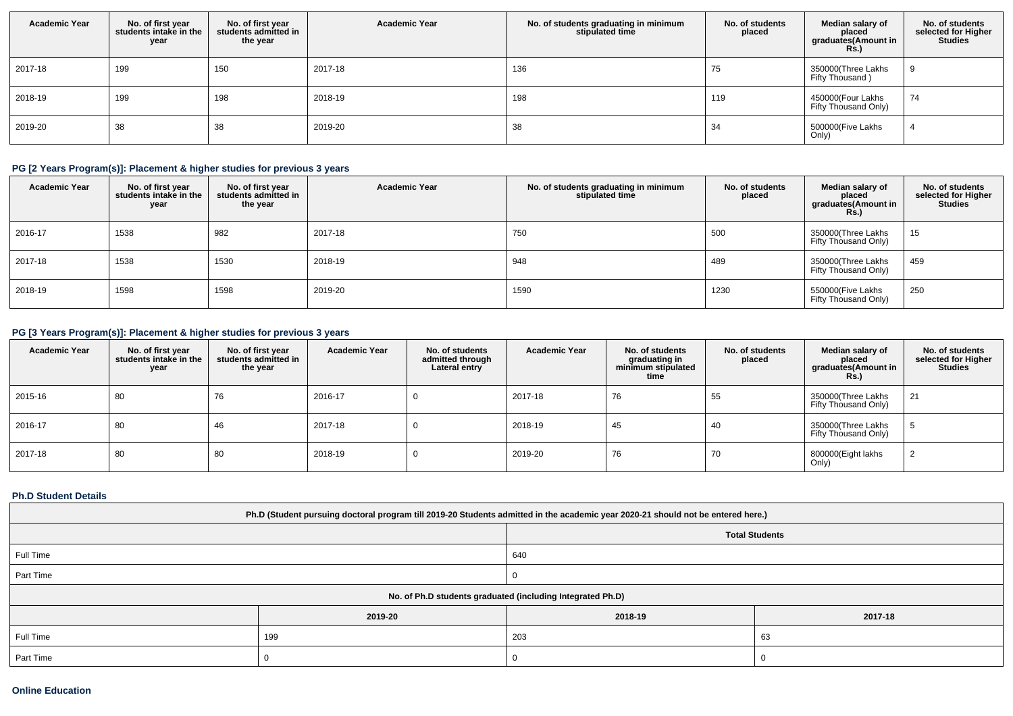| <b>Academic Year</b> | No. of first year<br>students intake in the<br>year | No. of first year<br>students admitted in<br>the year | <b>Academic Year</b> | No. of students graduating in minimum<br>stipulated time | No. of students<br>placed | Median salary of<br>placed<br>graduates(Amount in<br><b>Rs.)</b> | No. of students<br>selected for Higher<br><b>Studies</b> |
|----------------------|-----------------------------------------------------|-------------------------------------------------------|----------------------|----------------------------------------------------------|---------------------------|------------------------------------------------------------------|----------------------------------------------------------|
| 2017-18              | 199                                                 | 150                                                   | 2017-18              | 136                                                      | $\sqrt{5}$                | 350000(Three Lakhs<br>Fifty Thousand)                            |                                                          |
| 2018-19              | 199                                                 | 198                                                   | 2018-19              | 198                                                      | 119                       | 450000(Four Lakhs<br>Fifty Thousand Only)                        | 74                                                       |
| 2019-20              | 38                                                  | 38                                                    | 2019-20              | 38                                                       | 34                        | 500000(Five Lakhs<br>Only)                                       |                                                          |

# **PG [2 Years Program(s)]: Placement & higher studies for previous 3 years**

| <b>Academic Year</b> | No. of first year<br>students intake in the<br>year | No. of first vear<br>students admitted in<br>the year | <b>Academic Year</b> | No. of students graduating in minimum<br>stipulated time | No. of students<br>placed | Median salary of<br>placed<br>graduates(Amount in<br><b>Rs.)</b> | No. of students<br>selected for Higher<br><b>Studies</b> |
|----------------------|-----------------------------------------------------|-------------------------------------------------------|----------------------|----------------------------------------------------------|---------------------------|------------------------------------------------------------------|----------------------------------------------------------|
| 2016-17              | 1538                                                | 982                                                   | 2017-18              | 750                                                      | 500                       | 350000(Three Lakhs<br>Fifty Thousand Only)                       | 15                                                       |
| 2017-18              | 1538                                                | 1530                                                  | 2018-19              | 948                                                      | 489                       | 350000(Three Lakhs<br>Fifty Thousand Only)                       | 459                                                      |
| 2018-19              | 1598                                                | 1598                                                  | 2019-20              | 1590                                                     | 1230                      | 550000(Five Lakhs<br>Fifty Thousand Only)                        | 250                                                      |

## **PG [3 Years Program(s)]: Placement & higher studies for previous 3 years**

| <b>Academic Year</b> | No. of first year<br>students intake in the<br>year | No. of first vear<br>students admitted in<br>the year | <b>Academic Year</b> | No. of students<br>admitted through<br>Lateral entry | <b>Academic Year</b> | No. of students<br>graduating in<br>minimum stipulated<br>time | No. of students<br>placed | Median salary of<br>placed<br>graduates(Amount in<br>Rs.) | No. of students<br>selected for Higher<br><b>Studies</b> |
|----------------------|-----------------------------------------------------|-------------------------------------------------------|----------------------|------------------------------------------------------|----------------------|----------------------------------------------------------------|---------------------------|-----------------------------------------------------------|----------------------------------------------------------|
| 2015-16              | 80                                                  | 76                                                    | 2016-17              |                                                      | 2017-18              | 76                                                             | 55                        | 350000(Three Lakhs<br>Fifty Thousand Only)                | 21                                                       |
| 2016-17              | 80                                                  | 46                                                    | 2017-18              |                                                      | 2018-19              | 45                                                             | 40                        | 350000(Three Lakhs<br>Fifty Thousand Only)                |                                                          |
| 2017-18              | 80                                                  | 80                                                    | 2018-19              | 0                                                    | 2019-20              | 76                                                             | 70                        | 800000(Eight lakhs<br>Only)                               |                                                          |

### **Ph.D Student Details**

| Ph.D (Student pursuing doctoral program till 2019-20 Students admitted in the academic year 2020-21 should not be entered here.) |                                                            |         |         |  |  |  |
|----------------------------------------------------------------------------------------------------------------------------------|------------------------------------------------------------|---------|---------|--|--|--|
| <b>Total Students</b>                                                                                                            |                                                            |         |         |  |  |  |
| Full Time<br>640                                                                                                                 |                                                            |         |         |  |  |  |
| Part Time                                                                                                                        |                                                            |         |         |  |  |  |
|                                                                                                                                  | No. of Ph.D students graduated (including Integrated Ph.D) |         |         |  |  |  |
|                                                                                                                                  | 2019-20                                                    | 2018-19 | 2017-18 |  |  |  |
| Full Time                                                                                                                        | 199                                                        | 203     | 63      |  |  |  |
| Part Time                                                                                                                        |                                                            |         |         |  |  |  |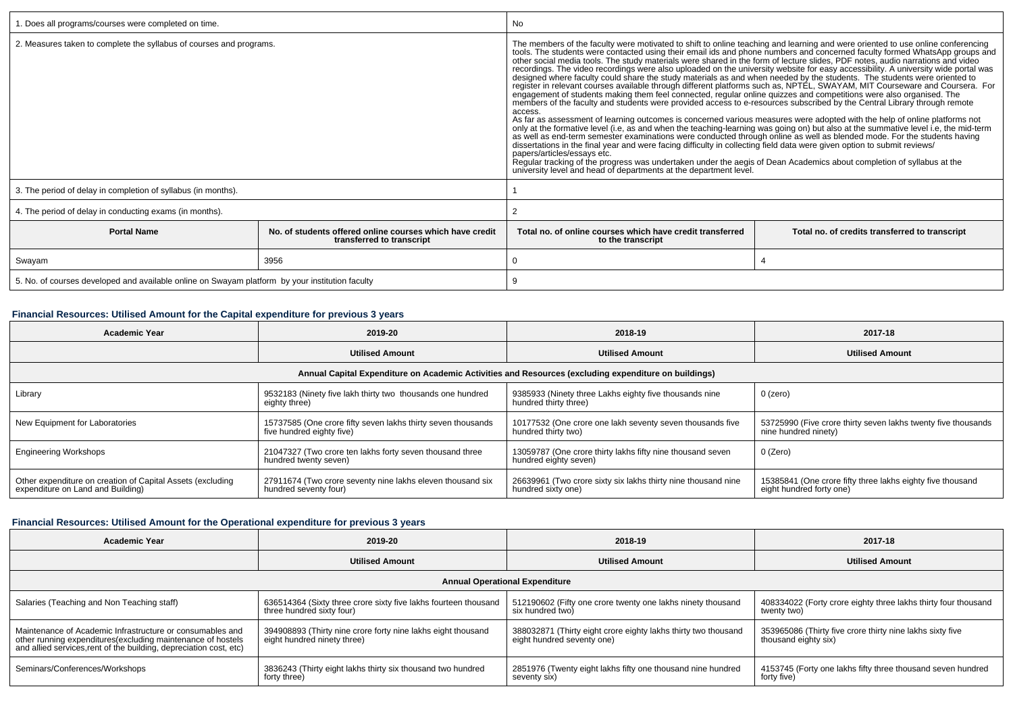| 1. Does all programs/courses were completed on time.                                            |                                                                                       | No                                                                                                                                                                                                                                                                                                                                                                                                                                                                                                                                                                                                                                                                                                                                                                                                                                                                                                                                                                                                                                                                                                                                                                                                                                                              |                                                                                                                                                                                                                                                                                                                                                                                                                                                                        |  |  |
|-------------------------------------------------------------------------------------------------|---------------------------------------------------------------------------------------|-----------------------------------------------------------------------------------------------------------------------------------------------------------------------------------------------------------------------------------------------------------------------------------------------------------------------------------------------------------------------------------------------------------------------------------------------------------------------------------------------------------------------------------------------------------------------------------------------------------------------------------------------------------------------------------------------------------------------------------------------------------------------------------------------------------------------------------------------------------------------------------------------------------------------------------------------------------------------------------------------------------------------------------------------------------------------------------------------------------------------------------------------------------------------------------------------------------------------------------------------------------------|------------------------------------------------------------------------------------------------------------------------------------------------------------------------------------------------------------------------------------------------------------------------------------------------------------------------------------------------------------------------------------------------------------------------------------------------------------------------|--|--|
| 2. Measures taken to complete the syllabus of courses and programs.                             |                                                                                       | The members of the faculty were motivated to shift to online teaching and learning and were oriented to use online conferencing<br>recordings. The video recordings were also uploaded on the university website for easy accessibility. A university wide portal was<br>engagement of students making them feel connected, regular online quizzes and competitions were also organised. The<br>members of the faculty and students were provided access to e-resources subscribed by the Central Library through remote<br>access.<br>As far as assessment of learning outcomes is concerned various measures were adopted with the help of online platforms not<br>only at the formative level (i.e, as and when the teaching-learning was going on) but also at the summative level i.e, the mid-term<br>as well as end-term semester examinations were conducted through online as well as blended<br>dissertations in the final year and were facing difficulty in collecting field data were given option to submit reviews/<br>papers/articles/essays etc.<br>Regular tracking of the progress was undertaken under the aegis of Dean Academics about completion of syllabus at the<br>university level and head of departments at the department level. | tools. The students were contacted using their email ids and phone numbers and concerned faculty formed WhatsApp groups and<br>other social media tools. The study materials were shared in the form of lecture slides, PDF notes<br>designed where faculty could share the study materials as and when needed by the students. The students were oriented to<br>register in relevant courses available through different platforms such as, NPTEL, SWAYAM, MIT Course |  |  |
| 3. The period of delay in completion of syllabus (in months).                                   |                                                                                       |                                                                                                                                                                                                                                                                                                                                                                                                                                                                                                                                                                                                                                                                                                                                                                                                                                                                                                                                                                                                                                                                                                                                                                                                                                                                 |                                                                                                                                                                                                                                                                                                                                                                                                                                                                        |  |  |
| 4. The period of delay in conducting exams (in months).                                         |                                                                                       |                                                                                                                                                                                                                                                                                                                                                                                                                                                                                                                                                                                                                                                                                                                                                                                                                                                                                                                                                                                                                                                                                                                                                                                                                                                                 |                                                                                                                                                                                                                                                                                                                                                                                                                                                                        |  |  |
| <b>Portal Name</b>                                                                              | No, of students offered online courses which have credit<br>transferred to transcript | Total no, of online courses which have credit transferred<br>Total no. of credits transferred to transcript<br>to the transcript                                                                                                                                                                                                                                                                                                                                                                                                                                                                                                                                                                                                                                                                                                                                                                                                                                                                                                                                                                                                                                                                                                                                |                                                                                                                                                                                                                                                                                                                                                                                                                                                                        |  |  |
| Swayam                                                                                          | 3956                                                                                  |                                                                                                                                                                                                                                                                                                                                                                                                                                                                                                                                                                                                                                                                                                                                                                                                                                                                                                                                                                                                                                                                                                                                                                                                                                                                 |                                                                                                                                                                                                                                                                                                                                                                                                                                                                        |  |  |
| 5. No. of courses developed and available online on Swayam platform by your institution faculty |                                                                                       |                                                                                                                                                                                                                                                                                                                                                                                                                                                                                                                                                                                                                                                                                                                                                                                                                                                                                                                                                                                                                                                                                                                                                                                                                                                                 |                                                                                                                                                                                                                                                                                                                                                                                                                                                                        |  |  |

# **Financial Resources: Utilised Amount for the Capital expenditure for previous 3 years**

| <b>Academic Year</b>                                                                                 | 2019-20                                                                                   | 2018-19                                                                             | 2017-18                                                                                |  |  |  |
|------------------------------------------------------------------------------------------------------|-------------------------------------------------------------------------------------------|-------------------------------------------------------------------------------------|----------------------------------------------------------------------------------------|--|--|--|
|                                                                                                      | <b>Utilised Amount</b>                                                                    | <b>Utilised Amount</b>                                                              | <b>Utilised Amount</b>                                                                 |  |  |  |
| Annual Capital Expenditure on Academic Activities and Resources (excluding expenditure on buildings) |                                                                                           |                                                                                     |                                                                                        |  |  |  |
| Library                                                                                              | 9532183 (Ninety five lakh thirty two thousands one hundred<br>eighty three)               | 9385933 (Ninety three Lakhs eighty five thousands nine<br>hundred thirty three)     | 0 (zero)                                                                               |  |  |  |
| New Equipment for Laboratories                                                                       | 15737585 (One crore fifty seven lakhs thirty seven thousands<br>five hundred eighty five) | 10177532 (One crore one lakh seventy seven thousands five<br>hundred thirty two)    | 53725990 (Five crore thirty seven lakhs twenty five thousands<br>nine hundred ninety)  |  |  |  |
| <b>Engineering Workshops</b>                                                                         | 21047327 (Two crore ten lakhs forty seven thousand three<br>hundred twenty seven)         | 13059787 (One crore thirty lakhs fifty nine thousand seven<br>hundred eighty seven) | 0 (Zero)                                                                               |  |  |  |
| Other expenditure on creation of Capital Assets (excluding<br>expenditure on Land and Building)      | 27911674 (Two crore seventy nine lakhs eleven thousand six<br>hundred seventy four)       | 26639961 (Two crore sixty six lakhs thirty nine thousand nine<br>hundred sixty one) | 15385841 (One crore fifty three lakhs eighty five thousand<br>eight hundred forty one) |  |  |  |

## **Financial Resources: Utilised Amount for the Operational expenditure for previous 3 years**

| <b>Academic Year</b>                                                                                                                                                                            | 2019-20                                                                                      | 2018-19                                                                                      | 2017-18                                                                           |  |  |  |  |
|-------------------------------------------------------------------------------------------------------------------------------------------------------------------------------------------------|----------------------------------------------------------------------------------------------|----------------------------------------------------------------------------------------------|-----------------------------------------------------------------------------------|--|--|--|--|
|                                                                                                                                                                                                 | <b>Utilised Amount</b>                                                                       | <b>Utilised Amount</b>                                                                       | <b>Utilised Amount</b>                                                            |  |  |  |  |
| <b>Annual Operational Expenditure</b>                                                                                                                                                           |                                                                                              |                                                                                              |                                                                                   |  |  |  |  |
| Salaries (Teaching and Non Teaching staff)                                                                                                                                                      | 636514364 (Sixty three crore sixty five lakhs fourteen thousand<br>three hundred sixty four) | 512190602 (Fifty one crore twenty one lakhs ninety thousand<br>six hundred two)              | 408334022 (Forty crore eighty three lakhs thirty four thousand<br>twenty two)     |  |  |  |  |
| Maintenance of Academic Infrastructure or consumables and<br>other running expenditures (excluding maintenance of hostels<br>and allied services, rent of the building, depreciation cost, etc) | 394908893 (Thirty nine crore forty nine lakhs eight thousand<br>eight hundred ninety three)  | 388032871 (Thirty eight crore eighty lakhs thirty two thousand<br>eight hundred seventy one) | 353965086 (Thirty five crore thirty nine lakhs sixty five<br>thousand eighty six) |  |  |  |  |
| Seminars/Conferences/Workshops                                                                                                                                                                  | 3836243 (Thirty eight lakhs thirty six thousand two hundred<br>forty three)                  | 2851976 (Twenty eight lakhs fifty one thousand nine hundred<br>seventy six)                  | 4153745 (Forty one lakhs fifty three thousand seven hundred<br>forty five)        |  |  |  |  |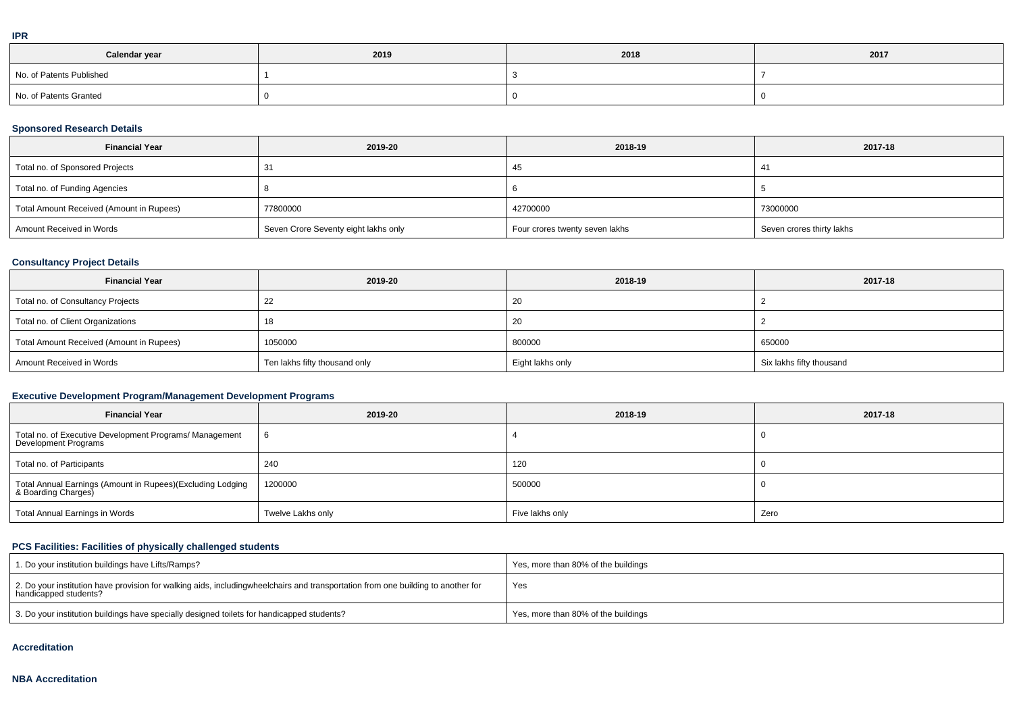| I   |  |
|-----|--|
|     |  |
| . . |  |

| Calendar year            | 2019 | 2018 | 2017 |
|--------------------------|------|------|------|
| No. of Patents Published |      |      |      |
| No. of Patents Granted   |      |      |      |

## **Sponsored Research Details**

| <b>Financial Year</b>                    | 2019-20                              | 2018-19                        | 2017-18                   |
|------------------------------------------|--------------------------------------|--------------------------------|---------------------------|
| Total no. of Sponsored Projects          | -31                                  | 45                             | 41                        |
| Total no. of Funding Agencies            |                                      |                                |                           |
| Total Amount Received (Amount in Rupees) | 77800000                             | 42700000                       | 73000000                  |
| Amount Received in Words                 | Seven Crore Seventy eight lakhs only | Four crores twenty seven lakhs | Seven crores thirty lakhs |

## **Consultancy Project Details**

| <b>Financial Year</b>                    | 2019-20                       | 2018-19          | 2017-18                  |  |  |
|------------------------------------------|-------------------------------|------------------|--------------------------|--|--|
| Total no. of Consultancy Projects        |                               | 20               |                          |  |  |
| Total no. of Client Organizations        | 18                            | 20               |                          |  |  |
| Total Amount Received (Amount in Rupees) | 1050000                       | 800000           | 650000                   |  |  |
| Amount Received in Words                 | Ten lakhs fifty thousand only | Eight lakhs only | Six lakhs fifty thousand |  |  |

## **Executive Development Program/Management Development Programs**

| <b>Financial Year</b>                                                             | 2019-20           | 2018-19         | 2017-18 |
|-----------------------------------------------------------------------------------|-------------------|-----------------|---------|
| Total no. of Executive Development Programs/ Management<br>Development Programs   |                   |                 |         |
| Total no. of Participants                                                         | 240               | 120             |         |
| Total Annual Earnings (Amount in Rupees)(Excluding Lodging<br>& Boarding Charges) | 1200000           | 500000          |         |
| Total Annual Earnings in Words                                                    | Twelve Lakhs only | Five lakhs only | Zero    |

## **PCS Facilities: Facilities of physically challenged students**

| 1. Do your institution buildings have Lifts/Ramps?                                                                                                           | Yes, more than 80% of the buildings |
|--------------------------------------------------------------------------------------------------------------------------------------------------------------|-------------------------------------|
| $12.$ Do your institution have provision for walking aids, includingwheelchairs and transportation from one building to another for<br>handicapped students? | Yes                                 |
| 3. Do your institution buildings have specially designed toilets for handicapped students?                                                                   | Yes, more than 80% of the buildings |

#### **Accreditation**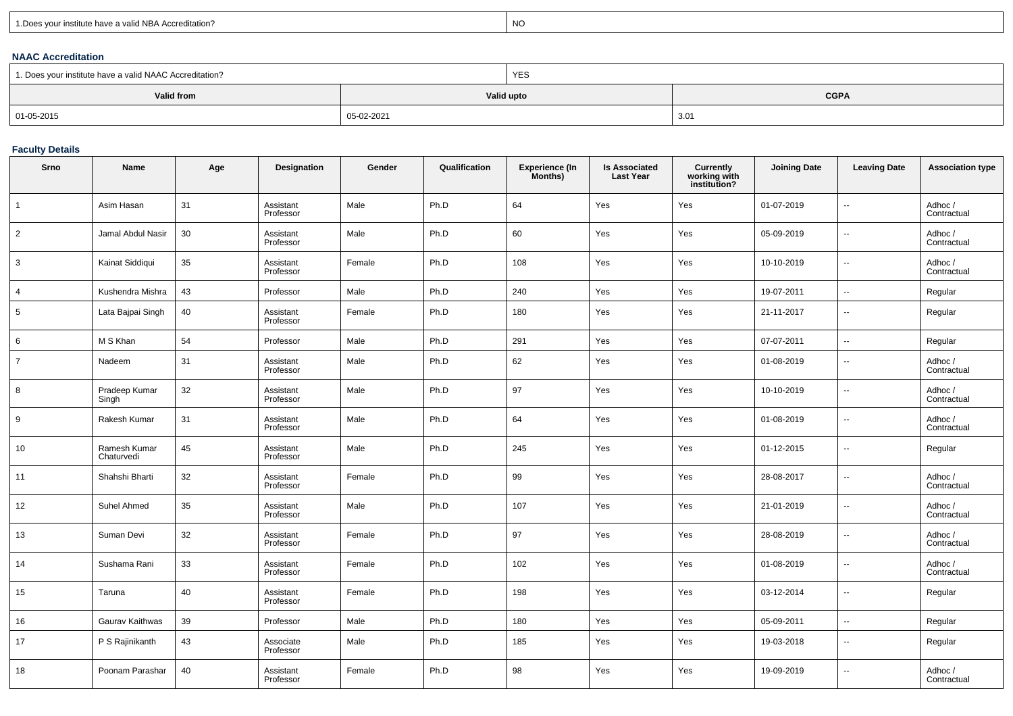| 1. Does your institute have a valid NBA Accreditation? |
|--------------------------------------------------------|
|--------------------------------------------------------|

expression of the contract of the contract of the contract of the contract of the contract of the contract of the contract of the contract of the contract of the contract of the contract of the contract of the contract of

### **NAAC Accreditation**

| 1. Does your institute have a valid NAAC Accreditation? |            | <b>YES</b>                |      |  |  |  |  |
|---------------------------------------------------------|------------|---------------------------|------|--|--|--|--|
| Valid from                                              |            | <b>CGPA</b><br>Valid upto |      |  |  |  |  |
| 01-05-2015                                              | 05-02-2021 |                           | 3.01 |  |  |  |  |

### **Faculty Details**

| Srno           | <b>Name</b>                | Age | Designation            | Gender | Qualification | <b>Experience (In</b><br>Months) | <b>Is Associated</b><br><b>Last Year</b> | <b>Currently</b><br>working with<br>institution? | <b>Joining Date</b> | <b>Leaving Date</b>      | <b>Association type</b> |
|----------------|----------------------------|-----|------------------------|--------|---------------|----------------------------------|------------------------------------------|--------------------------------------------------|---------------------|--------------------------|-------------------------|
| $\mathbf{1}$   | Asim Hasan                 | 31  | Assistant<br>Professor | Male   | Ph.D          | 64                               | Yes                                      | Yes                                              | 01-07-2019          | --                       | Adhoc/<br>Contractual   |
| $\overline{2}$ | Jamal Abdul Nasir          | 30  | Assistant<br>Professor | Male   | Ph.D          | 60                               | Yes                                      | Yes                                              | 05-09-2019          | Ξ.                       | Adhoc/<br>Contractual   |
| 3              | Kainat Siddiqui            | 35  | Assistant<br>Professor | Female | Ph.D          | 108                              | Yes                                      | Yes                                              | 10-10-2019          |                          | Adhoc /<br>Contractual  |
| $\overline{4}$ | Kushendra Mishra           | 43  | Professor              | Male   | Ph.D          | 240                              | Yes                                      | Yes                                              | 19-07-2011          | $\overline{a}$           | Regular                 |
| 5              | Lata Bajpai Singh          | 40  | Assistant<br>Professor | Female | Ph.D          | 180                              | Yes                                      | Yes                                              | 21-11-2017          | ä.                       | Regular                 |
| 6              | M S Khan                   | 54  | Professor              | Male   | Ph.D          | 291                              | Yes                                      | Yes                                              | 07-07-2011          | u.                       | Regular                 |
| $\overline{7}$ | Nadeem                     | 31  | Assistant<br>Professor | Male   | Ph.D          | 62                               | Yes                                      | Yes                                              | 01-08-2019          | --                       | Adhoc/<br>Contractual   |
| 8              | Pradeep Kumar<br>Singh     | 32  | Assistant<br>Professor | Male   | Ph.D          | 97                               | Yes                                      | Yes                                              | 10-10-2019          | Ξ.                       | Adhoc /<br>Contractual  |
| 9              | Rakesh Kumar               | 31  | Assistant<br>Professor | Male   | Ph.D          | 64                               | Yes                                      | Yes                                              | 01-08-2019          | $\overline{\phantom{a}}$ | Adhoc /<br>Contractual  |
| 10             | Ramesh Kumar<br>Chaturvedi | 45  | Assistant<br>Professor | Male   | Ph.D          | 245                              | Yes                                      | Yes                                              | 01-12-2015          | --                       | Regular                 |
| 11             | Shahshi Bharti             | 32  | Assistant<br>Professor | Female | Ph.D          | 99                               | Yes                                      | Yes                                              | 28-08-2017          | --                       | Adhoc /<br>Contractual  |
| 12             | Suhel Ahmed                | 35  | Assistant<br>Professor | Male   | Ph.D          | 107                              | Yes                                      | Yes                                              | 21-01-2019          | $\overline{\phantom{a}}$ | Adhoc /<br>Contractual  |
| 13             | Suman Devi                 | 32  | Assistant<br>Professor | Female | Ph.D          | 97                               | Yes                                      | Yes                                              | 28-08-2019          | −−                       | Adhoc /<br>Contractual  |
| 14             | Sushama Rani               | 33  | Assistant<br>Professor | Female | Ph.D          | 102                              | Yes                                      | Yes                                              | 01-08-2019          | --                       | Adhoc/<br>Contractual   |
| 15             | Taruna                     | 40  | Assistant<br>Professor | Female | Ph.D          | 198                              | Yes                                      | Yes                                              | 03-12-2014          | --                       | Regular                 |
| 16             | Gaurav Kaithwas            | 39  | Professor              | Male   | Ph.D          | 180                              | Yes                                      | Yes                                              | 05-09-2011          |                          | Regular                 |
| 17             | P S Rajinikanth            | 43  | Associate<br>Professor | Male   | Ph.D          | 185                              | Yes                                      | Yes                                              | 19-03-2018          | --                       | Regular                 |
| 18             | Poonam Parashar            | 40  | Assistant<br>Professor | Female | Ph.D          | 98                               | Yes                                      | Yes                                              | 19-09-2019          | Ξ.                       | Adhoc/<br>Contractual   |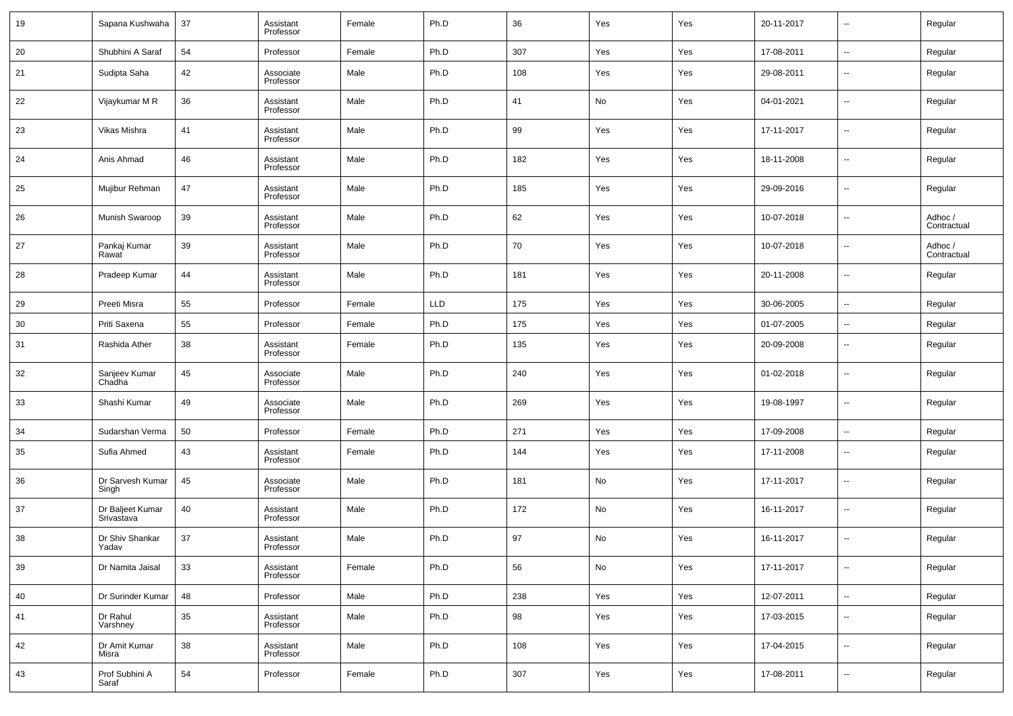| 19 | Sapana Kushwaha                | 37 | Assistant<br>Professor | Female | Ph.D       | 36  | Yes | Yes | 20-11-2017 | $\overline{\phantom{a}}$ | Regular                |
|----|--------------------------------|----|------------------------|--------|------------|-----|-----|-----|------------|--------------------------|------------------------|
| 20 | Shubhini A Saraf               | 54 | Professor              | Female | Ph.D       | 307 | Yes | Yes | 17-08-2011 | $\sim$                   | Regular                |
| 21 | Sudipta Saha                   | 42 | Associate<br>Professor | Male   | Ph.D       | 108 | Yes | Yes | 29-08-2011 | $\overline{\phantom{a}}$ | Regular                |
| 22 | Vijaykumar M R                 | 36 | Assistant<br>Professor | Male   | Ph.D       | 41  | No  | Yes | 04-01-2021 | $\overline{\phantom{a}}$ | Regular                |
| 23 | Vikas Mishra                   | 41 | Assistant<br>Professor | Male   | Ph.D       | 99  | Yes | Yes | 17-11-2017 | $\overline{\phantom{a}}$ | Regular                |
| 24 | Anis Ahmad                     | 46 | Assistant<br>Professor | Male   | Ph.D       | 182 | Yes | Yes | 18-11-2008 | $\overline{\phantom{a}}$ | Regular                |
| 25 | Mujibur Rehman                 | 47 | Assistant<br>Professor | Male   | Ph.D       | 185 | Yes | Yes | 29-09-2016 | $\overline{\phantom{a}}$ | Regular                |
| 26 | Munish Swaroop                 | 39 | Assistant<br>Professor | Male   | Ph.D       | 62  | Yes | Yes | 10-07-2018 | $\overline{\phantom{a}}$ | Adhoc /<br>Contractual |
| 27 | Pankaj Kumar<br>Rawat          | 39 | Assistant<br>Professor | Male   | Ph.D       | 70  | Yes | Yes | 10-07-2018 | $\overline{\phantom{a}}$ | Adhoc /<br>Contractual |
| 28 | Pradeep Kumar                  | 44 | Assistant<br>Professor | Male   | Ph.D       | 181 | Yes | Yes | 20-11-2008 | $\overline{\phantom{a}}$ | Regular                |
| 29 | Preeti Misra                   | 55 | Professor              | Female | <b>LLD</b> | 175 | Yes | Yes | 30-06-2005 | $\sim$                   | Regular                |
| 30 | Priti Saxena                   | 55 | Professor              | Female | Ph.D       | 175 | Yes | Yes | 01-07-2005 | $\overline{\phantom{a}}$ | Regular                |
| 31 | Rashida Ather                  | 38 | Assistant<br>Professor | Female | Ph.D       | 135 | Yes | Yes | 20-09-2008 | $\overline{\phantom{a}}$ | Regular                |
| 32 | Sanjeev Kumar<br>Chadha        | 45 | Associate<br>Professor | Male   | Ph.D       | 240 | Yes | Yes | 01-02-2018 | $\overline{\phantom{a}}$ | Regular                |
| 33 | Shashi Kumar                   | 49 | Associate<br>Professor | Male   | Ph.D       | 269 | Yes | Yes | 19-08-1997 | $\overline{\phantom{a}}$ | Regular                |
| 34 | Sudarshan Verma                | 50 | Professor              | Female | Ph.D       | 271 | Yes | Yes | 17-09-2008 | $\sim$                   | Regular                |
| 35 | Sufia Ahmed                    | 43 | Assistant<br>Professor | Female | Ph.D       | 144 | Yes | Yes | 17-11-2008 | $\overline{\phantom{a}}$ | Regular                |
| 36 | Dr Sarvesh Kumar<br>Singh      | 45 | Associate<br>Professor | Male   | Ph.D       | 181 | No  | Yes | 17-11-2017 | $\overline{\phantom{a}}$ | Regular                |
| 37 | Dr Baljeet Kumar<br>Srivastava | 40 | Assistant<br>Professor | Male   | Ph.D       | 172 | No  | Yes | 16-11-2017 | $\overline{\phantom{a}}$ | Regular                |
| 38 | Dr Shiv Shankar<br>Yadav       | 37 | Assistant<br>Professor | Male   | Ph.D       | 97  | No  | Yes | 16-11-2017 | $\overline{\phantom{a}}$ | Regular                |
| 39 | Dr Namita Jaisal               | 33 | Assistant<br>Professor | Female | Ph.D       | 56  | No  | Yes | 17-11-2017 | $\overline{\phantom{a}}$ | Regular                |
| 40 | Dr Surinder Kumar              | 48 | Professor              | Male   | Ph.D       | 238 | Yes | Yes | 12-07-2011 | $\overline{\phantom{a}}$ | Regular                |
| 41 | Dr Rahul<br>Varshney           | 35 | Assistant<br>Professor | Male   | Ph.D       | 98  | Yes | Yes | 17-03-2015 | $\overline{\phantom{a}}$ | Regular                |
| 42 | Dr Amit Kumar<br>Misra         | 38 | Assistant<br>Professor | Male   | Ph.D       | 108 | Yes | Yes | 17-04-2015 | $\sim$                   | Regular                |
| 43 | Prof Subhini A<br>Saraf        | 54 | Professor              | Female | Ph.D       | 307 | Yes | Yes | 17-08-2011 | $\overline{\phantom{a}}$ | Regular                |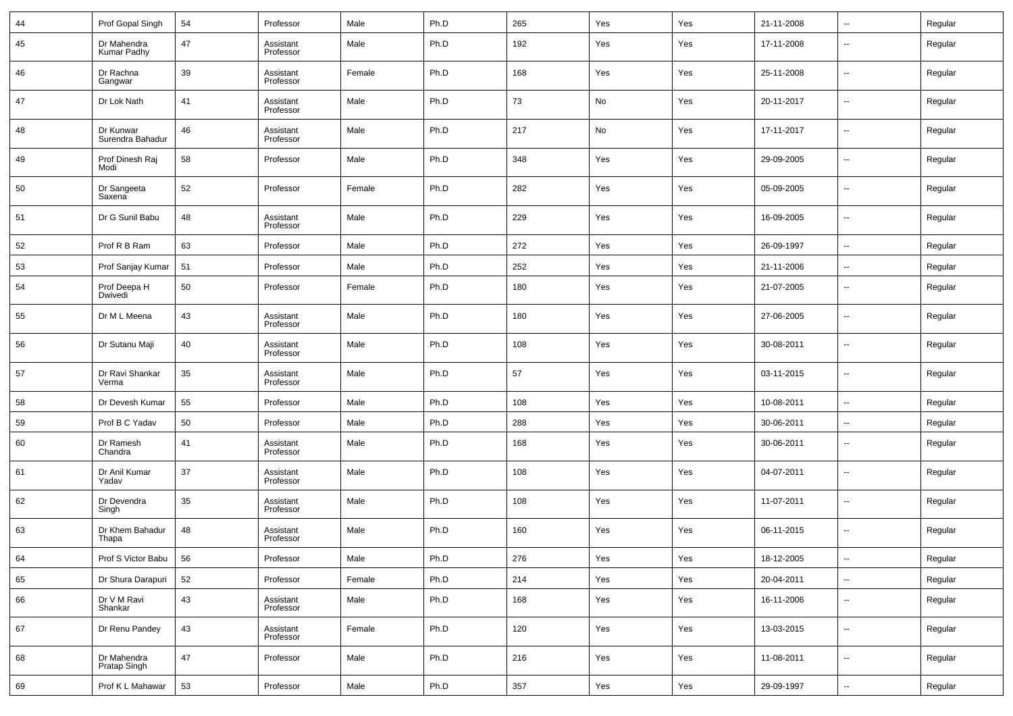| 44 | Prof Gopal Singh              | 54 | Professor              | Male   | Ph.D | 265 | Yes | Yes | 21-11-2008 | --                       | Regular |
|----|-------------------------------|----|------------------------|--------|------|-----|-----|-----|------------|--------------------------|---------|
| 45 | Dr Mahendra<br>Kumar Padhy    | 47 | Assistant<br>Professor | Male   | Ph.D | 192 | Yes | Yes | 17-11-2008 | $\overline{\phantom{a}}$ | Regular |
| 46 | Dr Rachna<br>Gangwar          | 39 | Assistant<br>Professor | Female | Ph.D | 168 | Yes | Yes | 25-11-2008 | $\overline{\phantom{a}}$ | Regular |
| 47 | Dr Lok Nath                   | 41 | Assistant<br>Professor | Male   | Ph.D | 73  | No  | Yes | 20-11-2017 | $\overline{\phantom{a}}$ | Regular |
| 48 | Dr Kunwar<br>Surendra Bahadur | 46 | Assistant<br>Professor | Male   | Ph.D | 217 | No  | Yes | 17-11-2017 | $\overline{\phantom{a}}$ | Regular |
| 49 | Prof Dinesh Raj<br>Modi       | 58 | Professor              | Male   | Ph.D | 348 | Yes | Yes | 29-09-2005 | $\overline{\phantom{a}}$ | Regular |
| 50 | Dr Sangeeta<br>Saxena         | 52 | Professor              | Female | Ph.D | 282 | Yes | Yes | 05-09-2005 | $\overline{\phantom{a}}$ | Regular |
| 51 | Dr G Sunil Babu               | 48 | Assistant<br>Professor | Male   | Ph.D | 229 | Yes | Yes | 16-09-2005 | $\overline{\phantom{a}}$ | Regular |
| 52 | Prof R B Ram                  | 63 | Professor              | Male   | Ph.D | 272 | Yes | Yes | 26-09-1997 | ۰.                       | Regular |
| 53 | Prof Sanjay Kumar             | 51 | Professor              | Male   | Ph.D | 252 | Yes | Yes | 21-11-2006 | $\overline{\phantom{a}}$ | Regular |
| 54 | Prof Deepa H<br>Dwivedi       | 50 | Professor              | Female | Ph.D | 180 | Yes | Yes | 21-07-2005 | $\overline{\phantom{a}}$ | Regular |
| 55 | Dr M L Meena                  | 43 | Assistant<br>Professor | Male   | Ph.D | 180 | Yes | Yes | 27-06-2005 | $\sim$                   | Regular |
| 56 | Dr Sutanu Maji                | 40 | Assistant<br>Professor | Male   | Ph.D | 108 | Yes | Yes | 30-08-2011 | $\overline{\phantom{a}}$ | Regular |
| 57 | Dr Ravi Shankar<br>Verma      | 35 | Assistant<br>Professor | Male   | Ph.D | 57  | Yes | Yes | 03-11-2015 | $\overline{\phantom{a}}$ | Regular |
| 58 | Dr Devesh Kumar               | 55 | Professor              | Male   | Ph.D | 108 | Yes | Yes | 10-08-2011 | $\ddotsc$                | Regular |
| 59 | Prof B C Yadav                | 50 | Professor              | Male   | Ph.D | 288 | Yes | Yes | 30-06-2011 | $\overline{\phantom{a}}$ | Regular |
| 60 | Dr Ramesh<br>Chandra          | 41 | Assistant<br>Professor | Male   | Ph.D | 168 | Yes | Yes | 30-06-2011 | $\overline{\phantom{a}}$ | Regular |
| 61 | Dr Anil Kumar<br>Yadav        | 37 | Assistant<br>Professor | Male   | Ph.D | 108 | Yes | Yes | 04-07-2011 | $\overline{\phantom{a}}$ | Regular |
| 62 | Dr Devendra<br>Singh          | 35 | Assistant<br>Professor | Male   | Ph.D | 108 | Yes | Yes | 11-07-2011 | $\overline{\phantom{a}}$ | Regular |
| 63 | Dr Khem Bahadur<br>Thapa      | 48 | Assistant<br>Professor | Male   | Ph.D | 160 | Yes | Yes | 06-11-2015 | $\overline{\phantom{a}}$ | Regular |
| 64 | Prof S Victor Babu            | 56 | Professor              | Male   | Ph.D | 276 | Yes | Yes | 18-12-2005 | ۰.                       | Regular |
| 65 | Dr Shura Darapuri             | 52 | Professor              | Female | Ph.D | 214 | Yes | Yes | 20-04-2011 | $\overline{\phantom{a}}$ | Regular |
| 66 | Dr V M Ravi<br>Shankar        | 43 | Assistant<br>Professor | Male   | Ph.D | 168 | Yes | Yes | 16-11-2006 | ۰.                       | Regular |
| 67 | Dr Renu Pandey                | 43 | Assistant<br>Professor | Female | Ph.D | 120 | Yes | Yes | 13-03-2015 | $\overline{\phantom{a}}$ | Regular |
| 68 | Dr Mahendra<br>Pratap Singh   | 47 | Professor              | Male   | Ph.D | 216 | Yes | Yes | 11-08-2011 | $\overline{\phantom{a}}$ | Regular |
| 69 | Prof K L Mahawar              | 53 | Professor              | Male   | Ph.D | 357 | Yes | Yes | 29-09-1997 | $\overline{\phantom{a}}$ | Regular |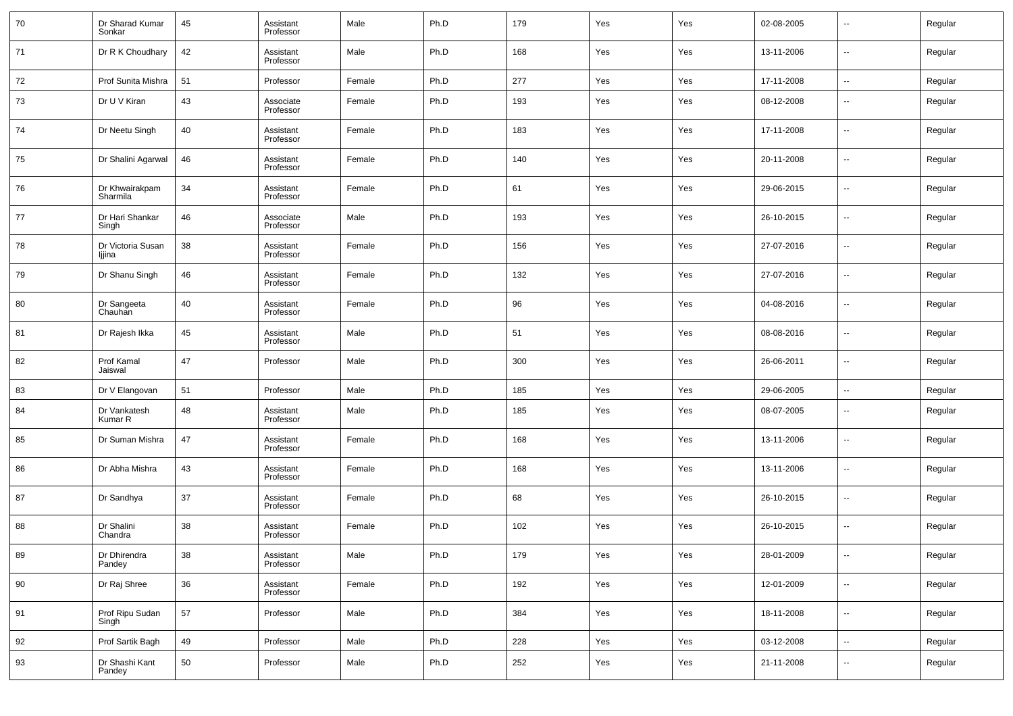| 70 | Dr Sharad Kumar<br>Sonkar   | 45 | Assistant<br>Professor | Male   | Ph.D | 179 | Yes | Yes | 02-08-2005 | $\overline{\phantom{a}}$ | Regular |
|----|-----------------------------|----|------------------------|--------|------|-----|-----|-----|------------|--------------------------|---------|
| 71 | Dr R K Choudhary            | 42 | Assistant<br>Professor | Male   | Ph.D | 168 | Yes | Yes | 13-11-2006 | $\overline{\phantom{a}}$ | Regular |
| 72 | Prof Sunita Mishra          | 51 | Professor              | Female | Ph.D | 277 | Yes | Yes | 17-11-2008 | $\sim$                   | Regular |
| 73 | Dr U V Kiran                | 43 | Associate<br>Professor | Female | Ph.D | 193 | Yes | Yes | 08-12-2008 | $\overline{\phantom{a}}$ | Regular |
| 74 | Dr Neetu Singh              | 40 | Assistant<br>Professor | Female | Ph.D | 183 | Yes | Yes | 17-11-2008 | $\overline{\phantom{a}}$ | Regular |
| 75 | Dr Shalini Agarwal          | 46 | Assistant<br>Professor | Female | Ph.D | 140 | Yes | Yes | 20-11-2008 | $\overline{\phantom{a}}$ | Regular |
| 76 | Dr Khwairakpam<br>Sharmila  | 34 | Assistant<br>Professor | Female | Ph.D | 61  | Yes | Yes | 29-06-2015 | $\overline{\phantom{a}}$ | Regular |
| 77 | Dr Hari Shankar<br>Singh    | 46 | Associate<br>Professor | Male   | Ph.D | 193 | Yes | Yes | 26-10-2015 | $\overline{\phantom{a}}$ | Regular |
| 78 | Dr Victoria Susan<br>ljjina | 38 | Assistant<br>Professor | Female | Ph.D | 156 | Yes | Yes | 27-07-2016 | $\overline{\phantom{a}}$ | Regular |
| 79 | Dr Shanu Singh              | 46 | Assistant<br>Professor | Female | Ph.D | 132 | Yes | Yes | 27-07-2016 | $\overline{\phantom{a}}$ | Regular |
| 80 | Dr Sangeeta<br>Chauhan      | 40 | Assistant<br>Professor | Female | Ph.D | 96  | Yes | Yes | 04-08-2016 | $\overline{\phantom{a}}$ | Regular |
| 81 | Dr Rajesh Ikka              | 45 | Assistant<br>Professor | Male   | Ph.D | 51  | Yes | Yes | 08-08-2016 | $\overline{\phantom{a}}$ | Regular |
| 82 | Prof Kamal<br>Jaiswal       | 47 | Professor              | Male   | Ph.D | 300 | Yes | Yes | 26-06-2011 | $\overline{\phantom{a}}$ | Regular |
| 83 | Dr V Elangovan              | 51 | Professor              | Male   | Ph.D | 185 | Yes | Yes | 29-06-2005 | $\overline{\phantom{a}}$ | Regular |
| 84 | Dr Vankatesh<br>Kumar R     | 48 | Assistant<br>Professor | Male   | Ph.D | 185 | Yes | Yes | 08-07-2005 | $\overline{\phantom{a}}$ | Regular |
| 85 | Dr Suman Mishra             | 47 | Assistant<br>Professor | Female | Ph.D | 168 | Yes | Yes | 13-11-2006 | $\ddotsc$                | Regular |
| 86 | Dr Abha Mishra              | 43 | Assistant<br>Professor | Female | Ph.D | 168 | Yes | Yes | 13-11-2006 | $\overline{\phantom{a}}$ | Regular |
| 87 | Dr Sandhya                  | 37 | Assistant<br>Professor | Female | Ph.D | 68  | Yes | Yes | 26-10-2015 | $\ddotsc$                | Regular |
| 88 | Dr Shalini<br>Chandra       | 38 | Assistant<br>Professor | Female | Ph.D | 102 | Yes | Yes | 26-10-2015 | $\overline{\phantom{a}}$ | Regular |
| 89 | Dr Dhirendra<br>Pandey      | 38 | Assistant<br>Professor | Male   | Ph.D | 179 | Yes | Yes | 28-01-2009 | $\overline{\phantom{a}}$ | Regular |
| 90 | Dr Raj Shree                | 36 | Assistant<br>Professor | Female | Ph.D | 192 | Yes | Yes | 12-01-2009 | $\sim$                   | Regular |
| 91 | Prof Ripu Sudan<br>Singh    | 57 | Professor              | Male   | Ph.D | 384 | Yes | Yes | 18-11-2008 | $\sim$                   | Regular |
| 92 | Prof Sartik Bagh            | 49 | Professor              | Male   | Ph.D | 228 | Yes | Yes | 03-12-2008 | $\sim$                   | Regular |
| 93 | Dr Shashi Kant<br>Pandey    | 50 | Professor              | Male   | Ph.D | 252 | Yes | Yes | 21-11-2008 | $\sim$                   | Regular |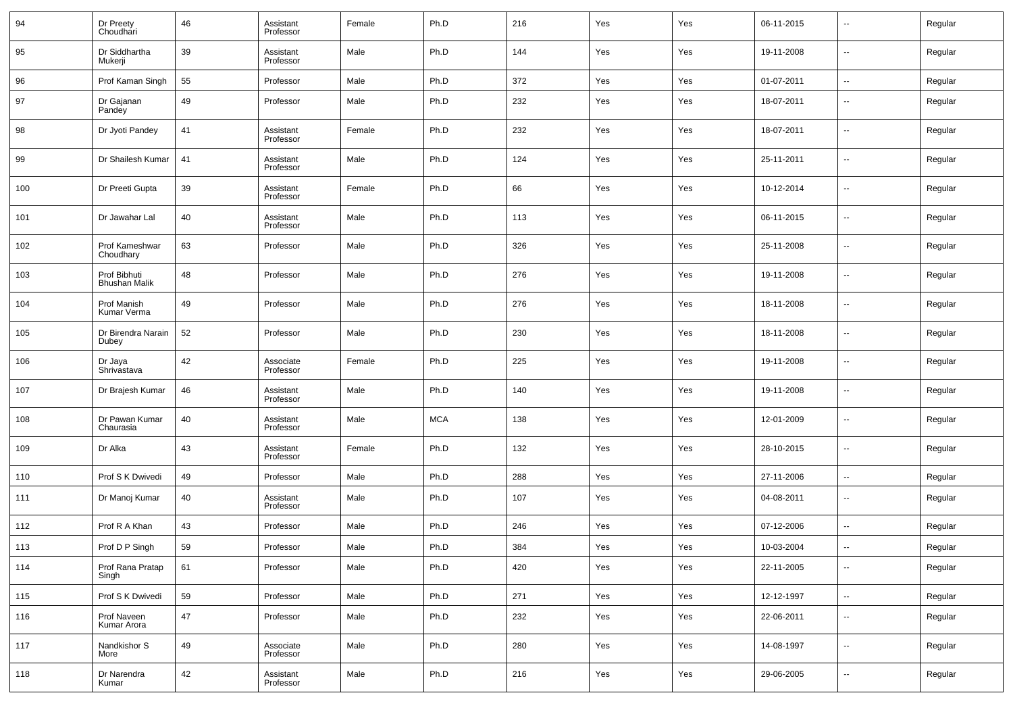| 94  | Dr Preety<br>Choudhari               | 46 | Assistant<br>Professor | Female | Ph.D       | 216 | Yes | Yes | 06-11-2015 | --                       | Regular |
|-----|--------------------------------------|----|------------------------|--------|------------|-----|-----|-----|------------|--------------------------|---------|
| 95  | Dr Siddhartha<br>Mukerji             | 39 | Assistant<br>Professor | Male   | Ph.D       | 144 | Yes | Yes | 19-11-2008 | $\overline{\phantom{a}}$ | Regular |
| 96  | Prof Kaman Singh                     | 55 | Professor              | Male   | Ph.D       | 372 | Yes | Yes | 01-07-2011 | $\overline{\phantom{a}}$ | Regular |
| 97  | Dr Gajanan<br>Pandey                 | 49 | Professor              | Male   | Ph.D       | 232 | Yes | Yes | 18-07-2011 | $\overline{\phantom{a}}$ | Regular |
| 98  | Dr Jyoti Pandey                      | 41 | Assistant<br>Professor | Female | Ph.D       | 232 | Yes | Yes | 18-07-2011 | $\overline{\phantom{a}}$ | Regular |
| 99  | Dr Shailesh Kumar                    | 41 | Assistant<br>Professor | Male   | Ph.D       | 124 | Yes | Yes | 25-11-2011 | $\overline{\phantom{a}}$ | Regular |
| 100 | Dr Preeti Gupta                      | 39 | Assistant<br>Professor | Female | Ph.D       | 66  | Yes | Yes | 10-12-2014 | $\overline{\phantom{a}}$ | Regular |
| 101 | Dr Jawahar Lal                       | 40 | Assistant<br>Professor | Male   | Ph.D       | 113 | Yes | Yes | 06-11-2015 | $\overline{\phantom{a}}$ | Regular |
| 102 | Prof Kameshwar<br>Choudhary          | 63 | Professor              | Male   | Ph.D       | 326 | Yes | Yes | 25-11-2008 | $\overline{\phantom{a}}$ | Regular |
| 103 | Prof Bibhuti<br><b>Bhushan Malik</b> | 48 | Professor              | Male   | Ph.D       | 276 | Yes | Yes | 19-11-2008 | $\overline{\phantom{a}}$ | Regular |
| 104 | Prof Manish<br>Kumar Verma           | 49 | Professor              | Male   | Ph.D       | 276 | Yes | Yes | 18-11-2008 | $\overline{\phantom{a}}$ | Regular |
| 105 | Dr Birendra Narain<br>Dubey          | 52 | Professor              | Male   | Ph.D       | 230 | Yes | Yes | 18-11-2008 | $\overline{\phantom{a}}$ | Regular |
| 106 | Dr Jaya<br>Shrivastava               | 42 | Associate<br>Professor | Female | Ph.D       | 225 | Yes | Yes | 19-11-2008 | $\overline{\phantom{a}}$ | Regular |
| 107 | Dr Brajesh Kumar                     | 46 | Assistant<br>Professor | Male   | Ph.D       | 140 | Yes | Yes | 19-11-2008 | $\overline{\phantom{a}}$ | Regular |
| 108 | Dr Pawan Kumar<br>Chaurasia          | 40 | Assistant<br>Professor | Male   | <b>MCA</b> | 138 | Yes | Yes | 12-01-2009 | $\overline{\phantom{a}}$ | Regular |
| 109 | Dr Alka                              | 43 | Assistant<br>Professor | Female | Ph.D       | 132 | Yes | Yes | 28-10-2015 | $\overline{\phantom{a}}$ | Regular |
| 110 | Prof S K Dwivedi                     | 49 | Professor              | Male   | Ph.D       | 288 | Yes | Yes | 27-11-2006 | $\overline{\phantom{a}}$ | Regular |
| 111 | Dr Manoj Kumar                       | 40 | Assistant<br>Professor | Male   | Ph.D       | 107 | Yes | Yes | 04-08-2011 | $\overline{\phantom{a}}$ | Regular |
| 112 | Prof R A Khan                        | 43 | Professor              | Male   | Ph.D       | 246 | Yes | Yes | 07-12-2006 | $\overline{\phantom{a}}$ | Regular |
| 113 | Prof D P Singh                       | 59 | Professor              | Male   | Ph.D       | 384 | Yes | Yes | 10-03-2004 | --                       | Regular |
| 114 | Prof Rana Pratap<br>Singh            | 61 | Professor              | Male   | Ph.D       | 420 | Yes | Yes | 22-11-2005 | $\overline{\phantom{a}}$ | Regular |
| 115 | Prof S K Dwivedi                     | 59 | Professor              | Male   | Ph.D       | 271 | Yes | Yes | 12-12-1997 | ۰.                       | Regular |
| 116 | Prof Naveen<br>Kumar Arora           | 47 | Professor              | Male   | Ph.D       | 232 | Yes | Yes | 22-06-2011 | ۰.                       | Regular |
| 117 | Nandkishor S<br>More                 | 49 | Associate<br>Professor | Male   | Ph.D       | 280 | Yes | Yes | 14-08-1997 | $\overline{\phantom{a}}$ | Regular |
| 118 | Dr Narendra<br>Kumar                 | 42 | Assistant<br>Professor | Male   | Ph.D       | 216 | Yes | Yes | 29-06-2005 | ۰.                       | Regular |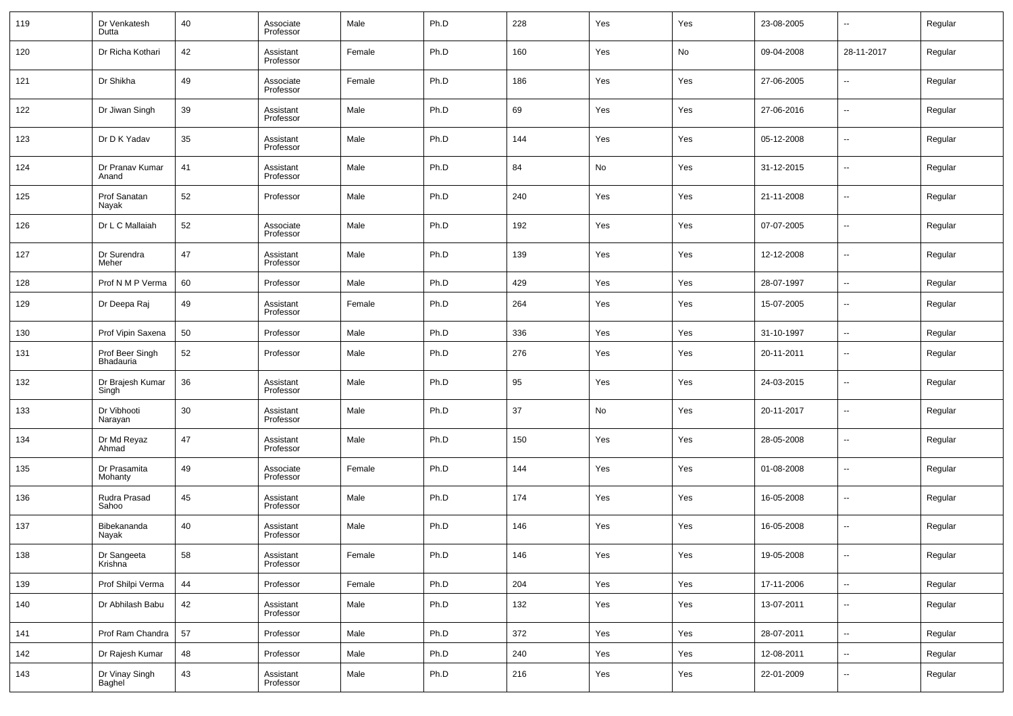| 119 | Dr Venkatesh<br>Dutta        | 40 | Associate<br>Professor | Male   | Ph.D | 228 | Yes | Yes | 23-08-2005 | $\sim$                   | Regular |
|-----|------------------------------|----|------------------------|--------|------|-----|-----|-----|------------|--------------------------|---------|
| 120 | Dr Richa Kothari             | 42 | Assistant<br>Professor | Female | Ph.D | 160 | Yes | No  | 09-04-2008 | 28-11-2017               | Regular |
| 121 | Dr Shikha                    | 49 | Associate<br>Professor | Female | Ph.D | 186 | Yes | Yes | 27-06-2005 | --                       | Regular |
| 122 | Dr Jiwan Singh               | 39 | Assistant<br>Professor | Male   | Ph.D | 69  | Yes | Yes | 27-06-2016 | $\sim$                   | Regular |
| 123 | Dr D K Yadav                 | 35 | Assistant<br>Professor | Male   | Ph.D | 144 | Yes | Yes | 05-12-2008 | $\overline{\phantom{a}}$ | Regular |
| 124 | Dr Pranav Kumar<br>Anand     | 41 | Assistant<br>Professor | Male   | Ph.D | 84  | No  | Yes | 31-12-2015 | $\sim$                   | Regular |
| 125 | Prof Sanatan<br>Nayak        | 52 | Professor              | Male   | Ph.D | 240 | Yes | Yes | 21-11-2008 | $\overline{\phantom{a}}$ | Regular |
| 126 | Dr L C Mallaiah              | 52 | Associate<br>Professor | Male   | Ph.D | 192 | Yes | Yes | 07-07-2005 | $\sim$                   | Regular |
| 127 | Dr Surendra<br>Meher         | 47 | Assistant<br>Professor | Male   | Ph.D | 139 | Yes | Yes | 12-12-2008 | $\overline{\phantom{a}}$ | Regular |
| 128 | Prof N M P Verma             | 60 | Professor              | Male   | Ph.D | 429 | Yes | Yes | 28-07-1997 | $\overline{\phantom{a}}$ | Regular |
| 129 | Dr Deepa Raj                 | 49 | Assistant<br>Professor | Female | Ph.D | 264 | Yes | Yes | 15-07-2005 | --                       | Regular |
| 130 | Prof Vipin Saxena            | 50 | Professor              | Male   | Ph.D | 336 | Yes | Yes | 31-10-1997 | н.                       | Regular |
| 131 | Prof Beer Singh<br>Bhadauria | 52 | Professor              | Male   | Ph.D | 276 | Yes | Yes | 20-11-2011 | $\overline{\phantom{a}}$ | Regular |
| 132 | Dr Brajesh Kumar<br>Singh    | 36 | Assistant<br>Professor | Male   | Ph.D | 95  | Yes | Yes | 24-03-2015 | $\overline{\phantom{a}}$ | Regular |
| 133 | Dr Vibhooti<br>Narayan       | 30 | Assistant<br>Professor | Male   | Ph.D | 37  | No  | Yes | 20-11-2017 | $\overline{\phantom{a}}$ | Regular |
| 134 | Dr Md Reyaz<br>Ahmad         | 47 | Assistant<br>Professor | Male   | Ph.D | 150 | Yes | Yes | 28-05-2008 | $\overline{\phantom{a}}$ | Regular |
| 135 | Dr Prasamita<br>Mohanty      | 49 | Associate<br>Professor | Female | Ph.D | 144 | Yes | Yes | 01-08-2008 | $\overline{\phantom{a}}$ | Regular |
| 136 | Rudra Prasad<br>Sahoo        | 45 | Assistant<br>Professor | Male   | Ph.D | 174 | Yes | Yes | 16-05-2008 | $\overline{\phantom{a}}$ | Regular |
| 137 | Bibekananda<br>Nayak         | 40 | Assistant<br>Professor | Male   | Ph.D | 146 | Yes | Yes | 16-05-2008 | $\overline{\phantom{a}}$ | Regular |
| 138 | Dr Sangeeta<br>Krishna       | 58 | Assistant<br>Professor | Female | Ph.D | 146 | Yes | Yes | 19-05-2008 | $\overline{\phantom{a}}$ | Regular |
| 139 | Prof Shilpi Verma            | 44 | Professor              | Female | Ph.D | 204 | Yes | Yes | 17-11-2006 | $\overline{\phantom{a}}$ | Regular |
| 140 | Dr Abhilash Babu             | 42 | Assistant<br>Professor | Male   | Ph.D | 132 | Yes | Yes | 13-07-2011 | $\sim$                   | Regular |
| 141 | Prof Ram Chandra             | 57 | Professor              | Male   | Ph.D | 372 | Yes | Yes | 28-07-2011 | $\overline{\phantom{a}}$ | Regular |
| 142 | Dr Rajesh Kumar              | 48 | Professor              | Male   | Ph.D | 240 | Yes | Yes | 12-08-2011 | $\overline{\phantom{a}}$ | Regular |
| 143 | Dr Vinay Singh<br>Baghel     | 43 | Assistant<br>Professor | Male   | Ph.D | 216 | Yes | Yes | 22-01-2009 | $\overline{\phantom{a}}$ | Regular |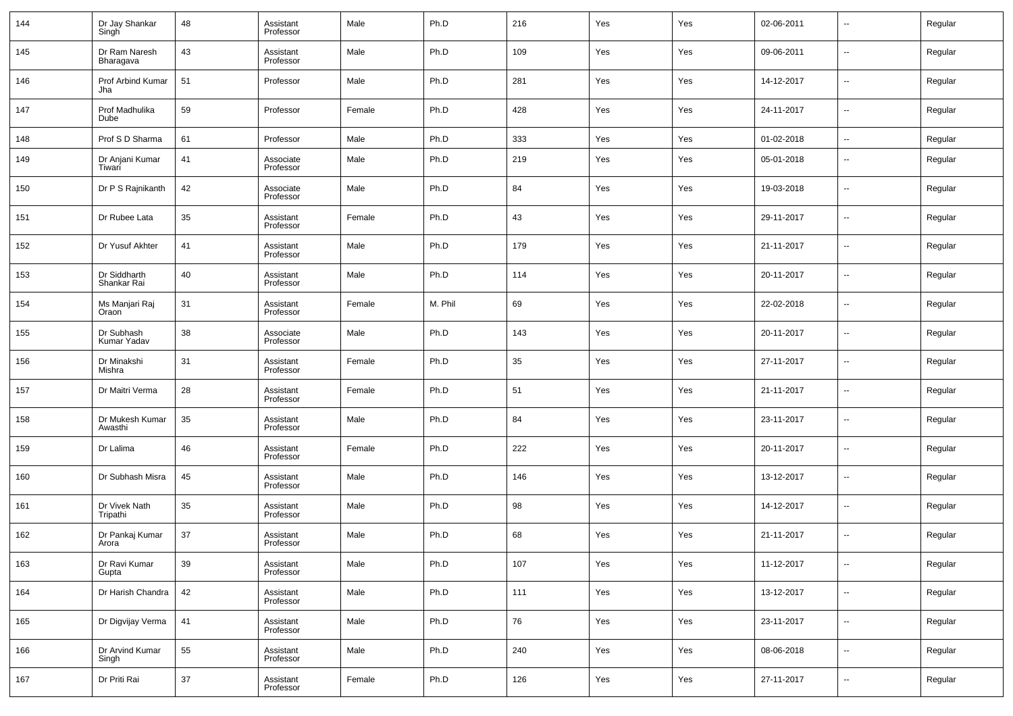| 144 | Dr Jay Shankar<br>Singh     | 48 | Assistant<br>Professor | Male   | Ph.D    | 216 | Yes | Yes | 02-06-2011 | $\overline{\phantom{a}}$ | Regular |
|-----|-----------------------------|----|------------------------|--------|---------|-----|-----|-----|------------|--------------------------|---------|
| 145 | Dr Ram Naresh<br>Bharagava  | 43 | Assistant<br>Professor | Male   | Ph.D    | 109 | Yes | Yes | 09-06-2011 | --                       | Regular |
| 146 | Prof Arbind Kumar<br>Jha    | 51 | Professor              | Male   | Ph.D    | 281 | Yes | Yes | 14-12-2017 | --                       | Regular |
| 147 | Prof Madhulika<br>Dube      | 59 | Professor              | Female | Ph.D    | 428 | Yes | Yes | 24-11-2017 | $\overline{\phantom{a}}$ | Regular |
| 148 | Prof S D Sharma             | 61 | Professor              | Male   | Ph.D    | 333 | Yes | Yes | 01-02-2018 | $\overline{\phantom{a}}$ | Regular |
| 149 | Dr Anjani Kumar<br>Tiwari   | 41 | Associate<br>Professor | Male   | Ph.D    | 219 | Yes | Yes | 05-01-2018 | --                       | Regular |
| 150 | Dr P S Rajnikanth           | 42 | Associate<br>Professor | Male   | Ph.D    | 84  | Yes | Yes | 19-03-2018 | --                       | Regular |
| 151 | Dr Rubee Lata               | 35 | Assistant<br>Professor | Female | Ph.D    | 43  | Yes | Yes | 29-11-2017 | --                       | Regular |
| 152 | Dr Yusuf Akhter             | 41 | Assistant<br>Professor | Male   | Ph.D    | 179 | Yes | Yes | 21-11-2017 | --                       | Regular |
| 153 | Dr Siddharth<br>Shankar Rai | 40 | Assistant<br>Professor | Male   | Ph.D    | 114 | Yes | Yes | 20-11-2017 | --                       | Regular |
| 154 | Ms Manjari Raj<br>Oraon     | 31 | Assistant<br>Professor | Female | M. Phil | 69  | Yes | Yes | 22-02-2018 | --                       | Regular |
| 155 | Dr Subhash<br>Kumar Yadav   | 38 | Associate<br>Professor | Male   | Ph.D    | 143 | Yes | Yes | 20-11-2017 | --                       | Regular |
| 156 | Dr Minakshi<br>Mishra       | 31 | Assistant<br>Professor | Female | Ph.D    | 35  | Yes | Yes | 27-11-2017 | --                       | Regular |
| 157 | Dr Maitri Verma             | 28 | Assistant<br>Professor | Female | Ph.D    | 51  | Yes | Yes | 21-11-2017 | --                       | Regular |
| 158 | Dr Mukesh Kumar<br>Awasthi  | 35 | Assistant<br>Professor | Male   | Ph.D    | 84  | Yes | Yes | 23-11-2017 | --                       | Regular |
| 159 | Dr Lalima                   | 46 | Assistant<br>Professor | Female | Ph.D    | 222 | Yes | Yes | 20-11-2017 | --                       | Regular |
| 160 | Dr Subhash Misra            | 45 | Assistant<br>Professor | Male   | Ph.D    | 146 | Yes | Yes | 13-12-2017 | --                       | Regular |
| 161 | Dr Vivek Nath<br>Tripathi   | 35 | Assistant<br>Professor | Male   | Ph.D    | 98  | Yes | Yes | 14-12-2017 | --                       | Regular |
| 162 | Dr Pankaj Kumar<br>Arora    | 37 | Assistant<br>Professor | Male   | Ph.D    | 68  | Yes | Yes | 21-11-2017 | $\overline{\phantom{a}}$ | Regular |
| 163 | Dr Ravi Kumar<br>Gupta      | 39 | Assistant<br>Professor | Male   | Ph.D    | 107 | Yes | Yes | 11-12-2017 | ۰.                       | Regular |
| 164 | Dr Harish Chandra           | 42 | Assistant<br>Professor | Male   | Ph.D    | 111 | Yes | Yes | 13-12-2017 | Ξ.                       | Regular |
| 165 | Dr Digvijay Verma           | 41 | Assistant<br>Professor | Male   | Ph.D    | 76  | Yes | Yes | 23-11-2017 | $\sim$                   | Regular |
| 166 | Dr Arvind Kumar<br>Singh    | 55 | Assistant<br>Professor | Male   | Ph.D    | 240 | Yes | Yes | 08-06-2018 | $\sim$                   | Regular |
| 167 | Dr Priti Rai                | 37 | Assistant<br>Professor | Female | Ph.D    | 126 | Yes | Yes | 27-11-2017 | --                       | Regular |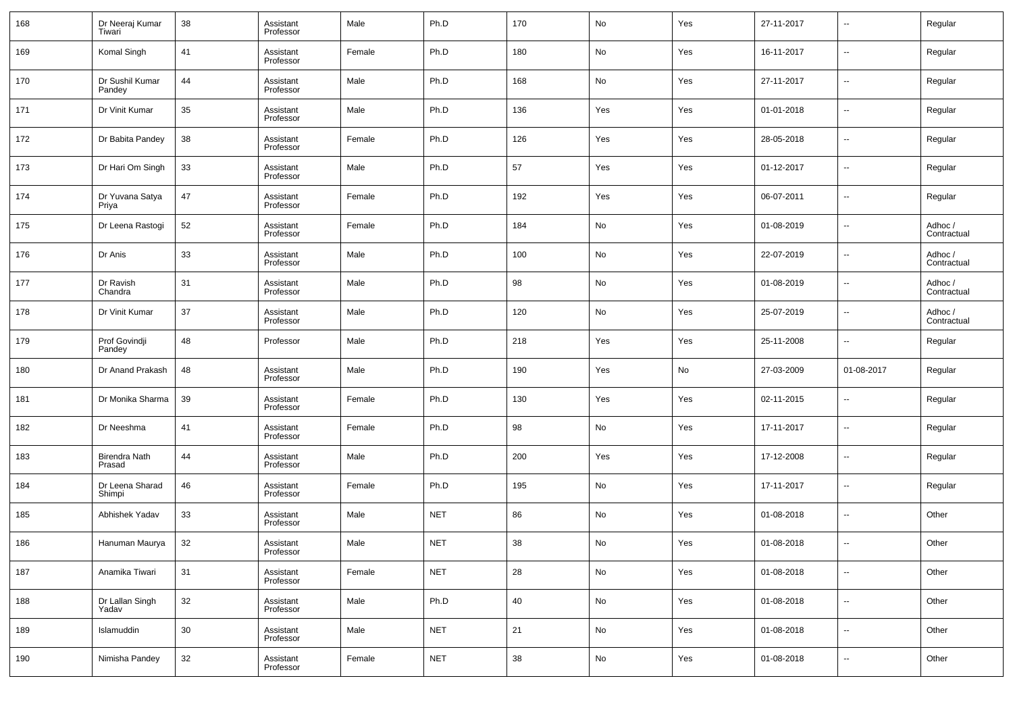| 168 | Dr Neeraj Kumar<br>Tiwari      | 38 | Assistant<br>Professor | Male   | Ph.D       | 170 | No            | Yes | 27-11-2017 | $\overline{\phantom{a}}$ | Regular                |
|-----|--------------------------------|----|------------------------|--------|------------|-----|---------------|-----|------------|--------------------------|------------------------|
| 169 | Komal Singh                    | 41 | Assistant<br>Professor | Female | Ph.D       | 180 | No            | Yes | 16-11-2017 | $\overline{\phantom{a}}$ | Regular                |
| 170 | Dr Sushil Kumar<br>Pandey      | 44 | Assistant<br>Professor | Male   | Ph.D       | 168 | No            | Yes | 27-11-2017 | $\overline{\phantom{a}}$ | Regular                |
| 171 | Dr Vinit Kumar                 | 35 | Assistant<br>Professor | Male   | Ph.D       | 136 | Yes           | Yes | 01-01-2018 | $\overline{\phantom{a}}$ | Regular                |
| 172 | Dr Babita Pandey               | 38 | Assistant<br>Professor | Female | Ph.D       | 126 | Yes           | Yes | 28-05-2018 | $\overline{\phantom{a}}$ | Regular                |
| 173 | Dr Hari Om Singh               | 33 | Assistant<br>Professor | Male   | Ph.D       | 57  | Yes           | Yes | 01-12-2017 | $\overline{\phantom{a}}$ | Regular                |
| 174 | Dr Yuvana Satya<br>Priya       | 47 | Assistant<br>Professor | Female | Ph.D       | 192 | Yes           | Yes | 06-07-2011 | $\overline{\phantom{a}}$ | Regular                |
| 175 | Dr Leena Rastogi               | 52 | Assistant<br>Professor | Female | Ph.D       | 184 | No            | Yes | 01-08-2019 | $\overline{\phantom{a}}$ | Adhoc /<br>Contractual |
| 176 | Dr Anis                        | 33 | Assistant<br>Professor | Male   | Ph.D       | 100 | No            | Yes | 22-07-2019 | $\overline{\phantom{a}}$ | Adhoc /<br>Contractual |
| 177 | Dr Ravish<br>Chandra           | 31 | Assistant<br>Professor | Male   | Ph.D       | 98  | No            | Yes | 01-08-2019 | $\overline{\phantom{a}}$ | Adhoc /<br>Contractual |
| 178 | Dr Vinit Kumar                 | 37 | Assistant<br>Professor | Male   | Ph.D       | 120 | No            | Yes | 25-07-2019 | $\overline{\phantom{a}}$ | Adhoc /<br>Contractual |
| 179 | Prof Govindji<br>Pandey        | 48 | Professor              | Male   | Ph.D       | 218 | Yes           | Yes | 25-11-2008 | $\overline{\phantom{a}}$ | Regular                |
| 180 | Dr Anand Prakash               | 48 | Assistant<br>Professor | Male   | Ph.D       | 190 | Yes           | No  | 27-03-2009 | 01-08-2017               | Regular                |
| 181 | Dr Monika Sharma               | 39 | Assistant<br>Professor | Female | Ph.D       | 130 | Yes           | Yes | 02-11-2015 | $\overline{\phantom{a}}$ | Regular                |
| 182 | Dr Neeshma                     | 41 | Assistant<br>Professor | Female | Ph.D       | 98  | No            | Yes | 17-11-2017 | $\overline{\phantom{a}}$ | Regular                |
| 183 | <b>Birendra Nath</b><br>Prasad | 44 | Assistant<br>Professor | Male   | Ph.D       | 200 | Yes           | Yes | 17-12-2008 | $\overline{\phantom{a}}$ | Regular                |
| 184 | Dr Leena Sharad<br>Shimpi      | 46 | Assistant<br>Professor | Female | Ph.D       | 195 | No            | Yes | 17-11-2017 | $\overline{\phantom{a}}$ | Regular                |
| 185 | Abhishek Yadav                 | 33 | Assistant<br>Professor | Male   | <b>NET</b> | 86  | No            | Yes | 01-08-2018 | $\overline{\phantom{a}}$ | Other                  |
| 186 | Hanuman Maurya                 | 32 | Assistant<br>Professor | Male   | <b>NET</b> | 38  | No            | Yes | 01-08-2018 | $\overline{\phantom{a}}$ | Other                  |
| 187 | Anamika Tiwari                 | 31 | Assistant<br>Professor | Female | <b>NET</b> | 28  | No            | Yes | 01-08-2018 | ۰.                       | Other                  |
| 188 | Dr Lallan Singh<br>Yadav       | 32 | Assistant<br>Professor | Male   | Ph.D       | 40  | $\mathsf{No}$ | Yes | 01-08-2018 | $\overline{\phantom{a}}$ | Other                  |
|     |                                |    |                        |        |            |     |               |     | 01-08-2018 |                          | Other                  |
| 189 | Islamuddin                     | 30 | Assistant<br>Professor | Male   | <b>NET</b> | 21  | $\mathsf{No}$ | Yes |            | ۰.                       |                        |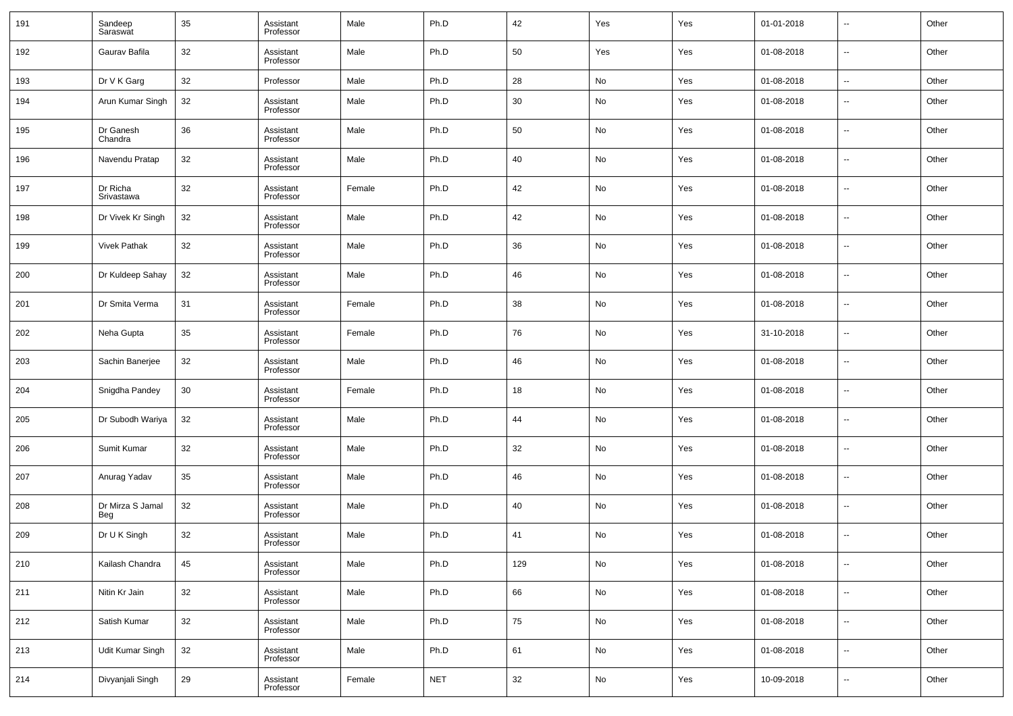| 191 | Sandeep<br>Saraswat     | 35 | Assistant<br>Professor | Male   | Ph.D       | 42     | Yes | Yes | 01-01-2018 | $\overline{\phantom{a}}$ | Other |
|-----|-------------------------|----|------------------------|--------|------------|--------|-----|-----|------------|--------------------------|-------|
| 192 | Gaurav Bafila           | 32 | Assistant<br>Professor | Male   | Ph.D       | 50     | Yes | Yes | 01-08-2018 | $\overline{\phantom{a}}$ | Other |
| 193 | Dr V K Garg             | 32 | Professor              | Male   | Ph.D       | 28     | No  | Yes | 01-08-2018 | $\sim$                   | Other |
| 194 | Arun Kumar Singh        | 32 | Assistant<br>Professor | Male   | Ph.D       | 30     | No  | Yes | 01-08-2018 | $\sim$                   | Other |
| 195 | Dr Ganesh<br>Chandra    | 36 | Assistant<br>Professor | Male   | Ph.D       | 50     | No  | Yes | 01-08-2018 | $\sim$                   | Other |
| 196 | Navendu Pratap          | 32 | Assistant<br>Professor | Male   | Ph.D       | 40     | No  | Yes | 01-08-2018 | $\sim$                   | Other |
| 197 | Dr Richa<br>Srivastawa  | 32 | Assistant<br>Professor | Female | Ph.D       | 42     | No  | Yes | 01-08-2018 | $\sim$                   | Other |
| 198 | Dr Vivek Kr Singh       | 32 | Assistant<br>Professor | Male   | Ph.D       | 42     | No  | Yes | 01-08-2018 | $\overline{\phantom{a}}$ | Other |
| 199 | <b>Vivek Pathak</b>     | 32 | Assistant<br>Professor | Male   | Ph.D       | 36     | No  | Yes | 01-08-2018 | $\sim$                   | Other |
| 200 | Dr Kuldeep Sahay        | 32 | Assistant<br>Professor | Male   | Ph.D       | 46     | No  | Yes | 01-08-2018 | $\overline{\phantom{a}}$ | Other |
| 201 | Dr Smita Verma          | 31 | Assistant<br>Professor | Female | Ph.D       | 38     | No  | Yes | 01-08-2018 | $\sim$                   | Other |
| 202 | Neha Gupta              | 35 | Assistant<br>Professor | Female | Ph.D       | 76     | No  | Yes | 31-10-2018 | $\overline{\phantom{a}}$ | Other |
| 203 | Sachin Banerjee         | 32 | Assistant<br>Professor | Male   | Ph.D       | 46     | No  | Yes | 01-08-2018 | $\sim$                   | Other |
| 204 | Snigdha Pandey          | 30 | Assistant<br>Professor | Female | Ph.D       | 18     | No  | Yes | 01-08-2018 | $\overline{\phantom{a}}$ | Other |
| 205 | Dr Subodh Wariya        | 32 | Assistant<br>Professor | Male   | Ph.D       | 44     | No  | Yes | 01-08-2018 | $\overline{\phantom{a}}$ | Other |
| 206 | Sumit Kumar             | 32 | Assistant<br>Professor | Male   | Ph.D       | 32     | No  | Yes | 01-08-2018 | $\sim$                   | Other |
| 207 | Anurag Yadav            | 35 | Assistant<br>Professor | Male   | Ph.D       | 46     | No  | Yes | 01-08-2018 | $\overline{\phantom{a}}$ | Other |
| 208 | Dr Mirza S Jamal<br>Beg | 32 | Assistant<br>Professor | Male   | Ph.D       | 40     | No  | Yes | 01-08-2018 | $\sim$                   | Other |
| 209 | Dr U K Singh            | 32 | Assistant<br>Professor | Male   | Ph.D       | 41     | No  | Yes | 01-08-2018 | $\overline{\phantom{a}}$ | Other |
| 210 | Kailash Chandra         | 45 | Assistant<br>Professor | Male   | Ph.D       | 129    | No  | Yes | 01-08-2018 | $\sim$                   | Other |
| 211 | Nitin Kr Jain           | 32 | Assistant<br>Professor | Male   | Ph.D       | 66     | No  | Yes | 01-08-2018 | $\overline{\phantom{a}}$ | Other |
| 212 | Satish Kumar            | 32 | Assistant<br>Professor | Male   | Ph.D       | 75     | No  | Yes | 01-08-2018 | $\overline{\phantom{a}}$ | Other |
| 213 | Udit Kumar Singh        | 32 | Assistant<br>Professor | Male   | Ph.D       | 61     | No  | Yes | 01-08-2018 | $\overline{\phantom{a}}$ | Other |
| 214 | Divyanjali Singh        | 29 | Assistant<br>Professor | Female | <b>NET</b> | $32\,$ | No  | Yes | 10-09-2018 | $\overline{\phantom{a}}$ | Other |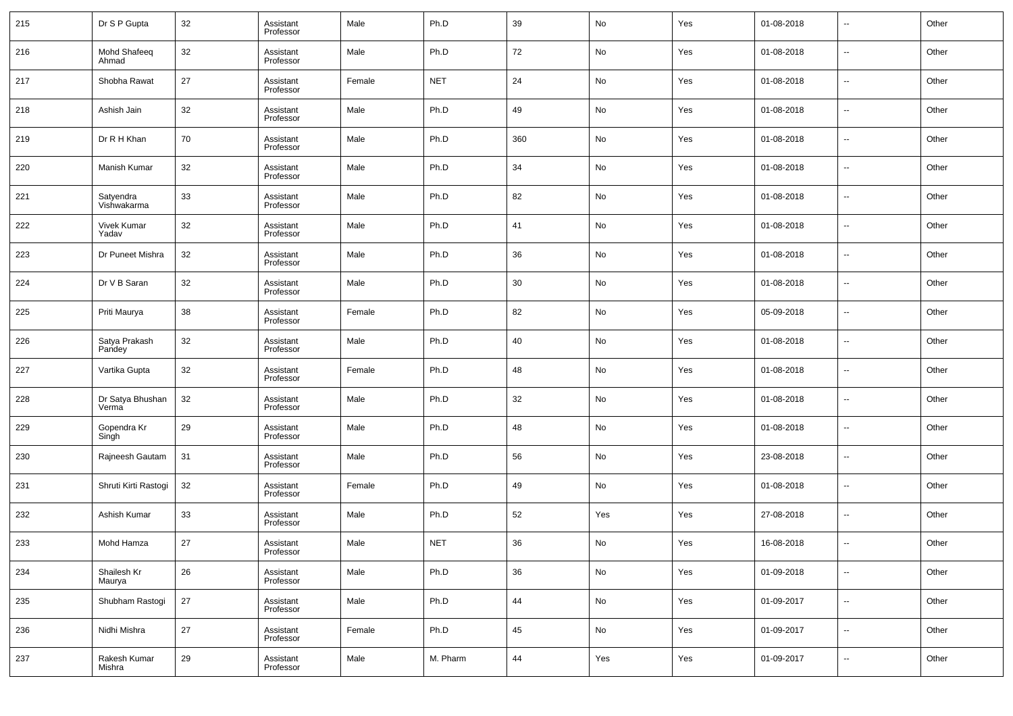| 215 | Dr S P Gupta                | 32 | Assistant<br>Professor | Male   | Ph.D       | 39     | No  | Yes | 01-08-2018 | $\overline{\phantom{a}}$ | Other |
|-----|-----------------------------|----|------------------------|--------|------------|--------|-----|-----|------------|--------------------------|-------|
| 216 | Mohd Shafeeq<br>Ahmad       | 32 | Assistant<br>Professor | Male   | Ph.D       | 72     | No  | Yes | 01-08-2018 | $\overline{\phantom{a}}$ | Other |
| 217 | Shobha Rawat                | 27 | Assistant<br>Professor | Female | <b>NET</b> | 24     | No  | Yes | 01-08-2018 | $\overline{\phantom{a}}$ | Other |
| 218 | Ashish Jain                 | 32 | Assistant<br>Professor | Male   | Ph.D       | 49     | No  | Yes | 01-08-2018 | $\overline{\phantom{a}}$ | Other |
| 219 | Dr R H Khan                 | 70 | Assistant<br>Professor | Male   | Ph.D       | 360    | No  | Yes | 01-08-2018 | $\overline{\phantom{a}}$ | Other |
| 220 | <b>Manish Kumar</b>         | 32 | Assistant<br>Professor | Male   | Ph.D       | 34     | No  | Yes | 01-08-2018 | $\overline{\phantom{a}}$ | Other |
| 221 | Satyendra<br>Vishwakarma    | 33 | Assistant<br>Professor | Male   | Ph.D       | 82     | No  | Yes | 01-08-2018 | $\overline{\phantom{a}}$ | Other |
| 222 | <b>Vivek Kumar</b><br>Yadav | 32 | Assistant<br>Professor | Male   | Ph.D       | 41     | No  | Yes | 01-08-2018 | $\overline{\phantom{a}}$ | Other |
| 223 | Dr Puneet Mishra            | 32 | Assistant<br>Professor | Male   | Ph.D       | 36     | No  | Yes | 01-08-2018 | $\overline{\phantom{a}}$ | Other |
| 224 | Dr V B Saran                | 32 | Assistant<br>Professor | Male   | Ph.D       | 30     | No  | Yes | 01-08-2018 | $\overline{\phantom{a}}$ | Other |
| 225 | Priti Maurya                | 38 | Assistant<br>Professor | Female | Ph.D       | 82     | No  | Yes | 05-09-2018 | $\overline{\phantom{a}}$ | Other |
| 226 | Satya Prakash<br>Pandey     | 32 | Assistant<br>Professor | Male   | Ph.D       | 40     | No  | Yes | 01-08-2018 | $\overline{\phantom{a}}$ | Other |
| 227 | Vartika Gupta               | 32 | Assistant<br>Professor | Female | Ph.D       | 48     | No  | Yes | 01-08-2018 | $\overline{\phantom{a}}$ | Other |
| 228 | Dr Satya Bhushan<br>Verma   | 32 | Assistant<br>Professor | Male   | Ph.D       | 32     | No  | Yes | 01-08-2018 | $\overline{\phantom{a}}$ | Other |
| 229 | Gopendra Kr<br>Singh        | 29 | Assistant<br>Professor | Male   | Ph.D       | 48     | No  | Yes | 01-08-2018 | $\overline{\phantom{a}}$ | Other |
| 230 | Rajneesh Gautam             | 31 | Assistant<br>Professor | Male   | Ph.D       | 56     | No  | Yes | 23-08-2018 | $\overline{\phantom{a}}$ | Other |
| 231 | Shruti Kirti Rastogi        | 32 | Assistant<br>Professor | Female | Ph.D       | 49     | No  | Yes | 01-08-2018 | $\overline{\phantom{a}}$ | Other |
| 232 | Ashish Kumar                | 33 | Assistant<br>Professor | Male   | Ph.D       | 52     | Yes | Yes | 27-08-2018 | $\overline{\phantom{a}}$ | Other |
| 233 | Mohd Hamza                  | 27 | Assistant<br>Professor | Male   | <b>NET</b> | 36     | No  | Yes | 16-08-2018 | $\overline{\phantom{a}}$ | Other |
| 234 | Shailesh Kr<br>Maurya       | 26 | Assistant<br>Professor | Male   | Ph.D       | $36\,$ | No  | Yes | 01-09-2018 | $\overline{\phantom{a}}$ | Other |
| 235 | Shubham Rastogi             | 27 | Assistant<br>Professor | Male   | Ph.D       | 44     | No  | Yes | 01-09-2017 | $\overline{\phantom{a}}$ | Other |
| 236 | Nidhi Mishra                | 27 | Assistant<br>Professor | Female | Ph.D       | $45\,$ | No  | Yes | 01-09-2017 | $\overline{\phantom{a}}$ | Other |
| 237 | Rakesh Kumar<br>Mishra      | 29 | Assistant<br>Professor | Male   | M. Pharm   | 44     | Yes | Yes | 01-09-2017 | $\overline{\phantom{a}}$ | Other |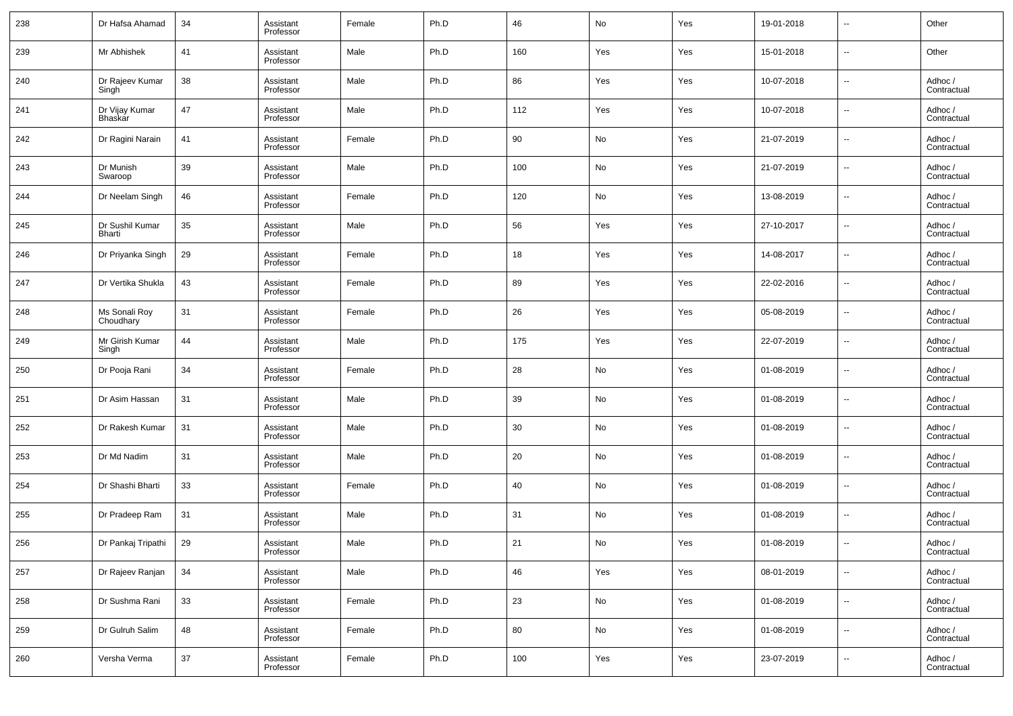| 238 | Dr Hafsa Ahamad                       | 34 | Assistant<br>Professor | Female | Ph.D | 46  | No            | Yes | 19-01-2018 | --                       | Other                  |
|-----|---------------------------------------|----|------------------------|--------|------|-----|---------------|-----|------------|--------------------------|------------------------|
| 239 | Mr Abhishek                           | 41 | Assistant<br>Professor | Male   | Ph.D | 160 | Yes           | Yes | 15-01-2018 | $\overline{\phantom{a}}$ | Other                  |
| 240 | Dr Rajeev Kumar<br>Singh <sup>-</sup> | 38 | Assistant<br>Professor | Male   | Ph.D | 86  | Yes           | Yes | 10-07-2018 | $\overline{\phantom{a}}$ | Adhoc /<br>Contractual |
| 241 | Dr Vijay Kumar<br>Bhaskar             | 47 | Assistant<br>Professor | Male   | Ph.D | 112 | Yes           | Yes | 10-07-2018 | $\overline{\phantom{a}}$ | Adhoc /<br>Contractual |
| 242 | Dr Ragini Narain                      | 41 | Assistant<br>Professor | Female | Ph.D | 90  | No            | Yes | 21-07-2019 | $\overline{\phantom{a}}$ | Adhoc /<br>Contractual |
| 243 | Dr Munish<br>Swaroop                  | 39 | Assistant<br>Professor | Male   | Ph.D | 100 | No            | Yes | 21-07-2019 | $\overline{\phantom{a}}$ | Adhoc /<br>Contractual |
| 244 | Dr Neelam Singh                       | 46 | Assistant<br>Professor | Female | Ph.D | 120 | No            | Yes | 13-08-2019 | $\overline{\phantom{a}}$ | Adhoc /<br>Contractual |
| 245 | Dr Sushil Kumar<br>Bharti             | 35 | Assistant<br>Professor | Male   | Ph.D | 56  | Yes           | Yes | 27-10-2017 | $\overline{\phantom{a}}$ | Adhoc /<br>Contractual |
| 246 | Dr Priyanka Singh                     | 29 | Assistant<br>Professor | Female | Ph.D | 18  | Yes           | Yes | 14-08-2017 | $\overline{\phantom{a}}$ | Adhoc /<br>Contractual |
| 247 | Dr Vertika Shukla                     | 43 | Assistant<br>Professor | Female | Ph.D | 89  | Yes           | Yes | 22-02-2016 | $\overline{\phantom{a}}$ | Adhoc /<br>Contractual |
| 248 | Ms Sonali Roy<br>Choudhary            | 31 | Assistant<br>Professor | Female | Ph.D | 26  | Yes           | Yes | 05-08-2019 | $\overline{\phantom{a}}$ | Adhoc /<br>Contractual |
| 249 | Mr Girish Kumar<br>Singh              | 44 | Assistant<br>Professor | Male   | Ph.D | 175 | Yes           | Yes | 22-07-2019 | $\overline{\phantom{a}}$ | Adhoc /<br>Contractual |
| 250 | Dr Pooja Rani                         | 34 | Assistant<br>Professor | Female | Ph.D | 28  | No            | Yes | 01-08-2019 | $\overline{\phantom{a}}$ | Adhoc /<br>Contractual |
| 251 | Dr Asim Hassan                        | 31 | Assistant<br>Professor | Male   | Ph.D | 39  | No            | Yes | 01-08-2019 | $\overline{\phantom{a}}$ | Adhoc /<br>Contractual |
| 252 | Dr Rakesh Kumar                       | 31 | Assistant<br>Professor | Male   | Ph.D | 30  | No            | Yes | 01-08-2019 | $\overline{\phantom{a}}$ | Adhoc /<br>Contractual |
| 253 | Dr Md Nadim                           | 31 | Assistant<br>Professor | Male   | Ph.D | 20  | No            | Yes | 01-08-2019 | $\overline{\phantom{a}}$ | Adhoc /<br>Contractual |
| 254 | Dr Shashi Bharti                      | 33 | Assistant<br>Professor | Female | Ph.D | 40  | No            | Yes | 01-08-2019 | $\overline{\phantom{a}}$ | Adhoc /<br>Contractual |
| 255 | Dr Pradeep Ram                        | 31 | Assistant<br>Professor | Male   | Ph.D | 31  | No            | Yes | 01-08-2019 | $\overline{\phantom{a}}$ | Adhoc /<br>Contractual |
| 256 | Dr Pankaj Tripathi                    | 29 | Assistant<br>Professor | Male   | Ph.D | 21  | No            | Yes | 01-08-2019 | $\overline{\phantom{a}}$ | Adhoc /<br>Contractual |
| 257 | Dr Rajeev Ranjan                      | 34 | Assistant<br>Professor | Male   | Ph.D | 46  | Yes           | Yes | 08-01-2019 | ۰.                       | Adhoc /<br>Contractual |
| 258 | Dr Sushma Rani                        | 33 | Assistant<br>Professor | Female | Ph.D | 23  | No            | Yes | 01-08-2019 | ۰.                       | Adhoc /<br>Contractual |
| 259 | Dr Gulruh Salim                       | 48 | Assistant<br>Professor | Female | Ph.D | 80  | $\mathsf{No}$ | Yes | 01-08-2019 | ۰.                       | Adhoc /<br>Contractual |
| 260 | Versha Verma                          | 37 | Assistant<br>Professor | Female | Ph.D | 100 | Yes           | Yes | 23-07-2019 | $\overline{\phantom{a}}$ | Adhoc /<br>Contractual |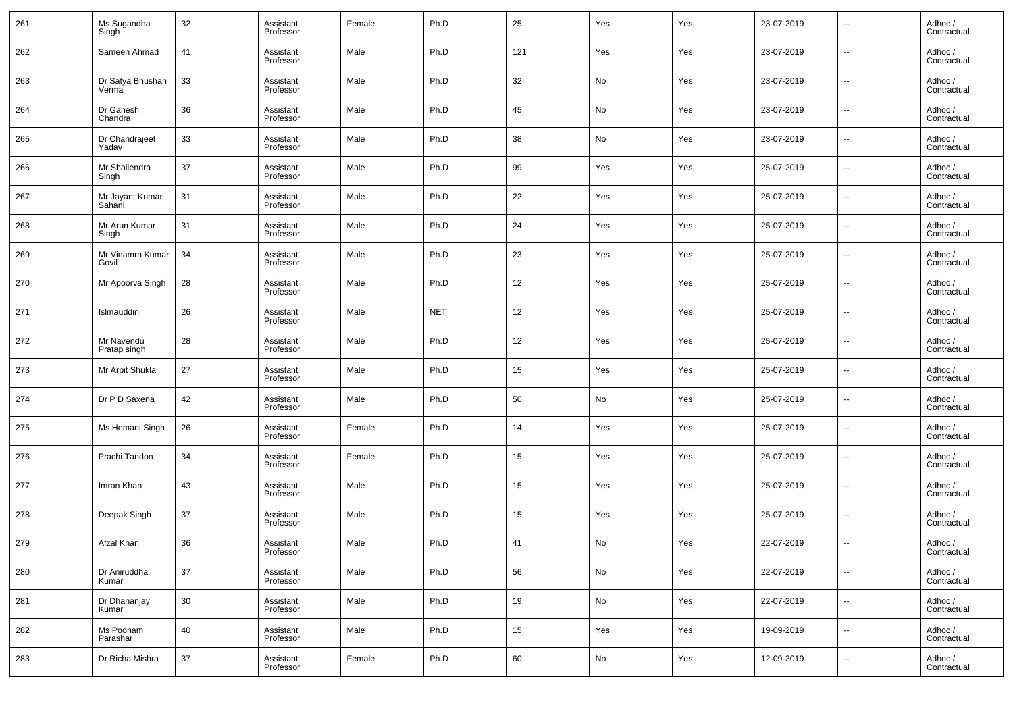| 261 | Ms Sugandha<br>Singh       | 32 | Assistant<br>Professor | Female | Ph.D       | 25  | Yes                          | Yes | 23-07-2019 | $\overline{\phantom{a}}$ | Adhoc /<br>Contractual |
|-----|----------------------------|----|------------------------|--------|------------|-----|------------------------------|-----|------------|--------------------------|------------------------|
| 262 | Sameen Ahmad               | 41 | Assistant<br>Professor | Male   | Ph.D       | 121 | Yes                          | Yes | 23-07-2019 | $\overline{\phantom{a}}$ | Adhoc /<br>Contractual |
| 263 | Dr Satya Bhushan<br>Verma  | 33 | Assistant<br>Professor | Male   | Ph.D       | 32  | No                           | Yes | 23-07-2019 | $\overline{\phantom{a}}$ | Adhoc /<br>Contractual |
| 264 | Dr Ganesh<br>Chandra       | 36 | Assistant<br>Professor | Male   | Ph.D       | 45  | No                           | Yes | 23-07-2019 | $\overline{\phantom{a}}$ | Adhoc /<br>Contractual |
| 265 | Dr Chandrajeet<br>Yadav    | 33 | Assistant<br>Professor | Male   | Ph.D       | 38  | No                           | Yes | 23-07-2019 | $\overline{\phantom{a}}$ | Adhoc /<br>Contractual |
| 266 | Mr Shailendra<br>Singh     | 37 | Assistant<br>Professor | Male   | Ph.D       | 99  | Yes                          | Yes | 25-07-2019 | $\overline{\phantom{a}}$ | Adhoc /<br>Contractual |
| 267 | Mr Jayant Kumar<br>Sahani  | 31 | Assistant<br>Professor | Male   | Ph.D       | 22  | Yes                          | Yes | 25-07-2019 | $\overline{\phantom{a}}$ | Adhoc /<br>Contractual |
| 268 | Mr Arun Kumar<br>Singh     | 31 | Assistant<br>Professor | Male   | Ph.D       | 24  | Yes                          | Yes | 25-07-2019 | $\overline{\phantom{a}}$ | Adhoc /<br>Contractual |
| 269 | Mr Vinamra Kumar<br>Govil  | 34 | Assistant<br>Professor | Male   | Ph.D       | 23  | Yes                          | Yes | 25-07-2019 | $\overline{\phantom{a}}$ | Adhoc /<br>Contractual |
| 270 | Mr Apoorva Singh           | 28 | Assistant<br>Professor | Male   | Ph.D       | 12  | Yes                          | Yes | 25-07-2019 | $\overline{\phantom{a}}$ | Adhoc /<br>Contractual |
| 271 | Islmauddin                 | 26 | Assistant<br>Professor | Male   | <b>NET</b> | 12  | Yes                          | Yes | 25-07-2019 | $\overline{\phantom{a}}$ | Adhoc /<br>Contractual |
| 272 | Mr Navendu<br>Pratap singh | 28 | Assistant<br>Professor | Male   | Ph.D       | 12  | Yes                          | Yes | 25-07-2019 | $\overline{\phantom{a}}$ | Adhoc /<br>Contractual |
| 273 | Mr Arpit Shukla            | 27 | Assistant<br>Professor | Male   | Ph.D       | 15  | Yes                          | Yes | 25-07-2019 | $\overline{\phantom{a}}$ | Adhoc /<br>Contractual |
| 274 | Dr P D Saxena              | 42 | Assistant<br>Professor | Male   | Ph.D       | 50  | No                           | Yes | 25-07-2019 | $\overline{\phantom{a}}$ | Adhoc /<br>Contractual |
| 275 | Ms Hemani Singh            | 26 | Assistant<br>Professor | Female | Ph.D       | 14  | Yes                          | Yes | 25-07-2019 | $\overline{\phantom{a}}$ | Adhoc /<br>Contractual |
| 276 | Prachi Tandon              | 34 | Assistant<br>Professor | Female | Ph.D       | 15  | Yes                          | Yes | 25-07-2019 | $\overline{\phantom{a}}$ | Adhoc /<br>Contractual |
| 277 | Imran Khan                 | 43 | Assistant<br>Professor | Male   | Ph.D       | 15  | Yes                          | Yes | 25-07-2019 | $\overline{\phantom{a}}$ | Adhoc /<br>Contractual |
| 278 | Deepak Singh               | 37 | Assistant<br>Professor | Male   | Ph.D       | 15  | Yes                          | Yes | 25-07-2019 | $\overline{\phantom{a}}$ | Adhoc /<br>Contractual |
| 279 | Afzal Khan                 | 36 | Assistant<br>Professor | Male   | Ph.D       | 41  | No                           | Yes | 22-07-2019 | $\overline{\phantom{a}}$ | Adhoc /<br>Contractual |
| 280 | Dr Aniruddha<br>Kumar      | 37 | Assistant<br>Professor | Male   | Ph.D       | 56  | No                           | Yes | 22-07-2019 | ۰.                       | Adhoc /<br>Contractual |
| 281 | Dr Dhananjay<br>Kumar      | 30 | Assistant<br>Professor | Male   | Ph.D       | 19  | ${\sf No}$                   | Yes | 22-07-2019 | ۰.                       | Adhoc /<br>Contractual |
| 282 | Ms Poonam<br>Parashar      | 40 | Assistant<br>Professor | Male   | Ph.D       | 15  | Yes                          | Yes | 19-09-2019 | ۰.                       | Adhoc /<br>Contractual |
| 283 | Dr Richa Mishra            | 37 | Assistant<br>Professor | Female | Ph.D       | 60  | $\operatorname{\mathsf{No}}$ | Yes | 12-09-2019 | $\overline{\phantom{a}}$ | Adhoc /<br>Contractual |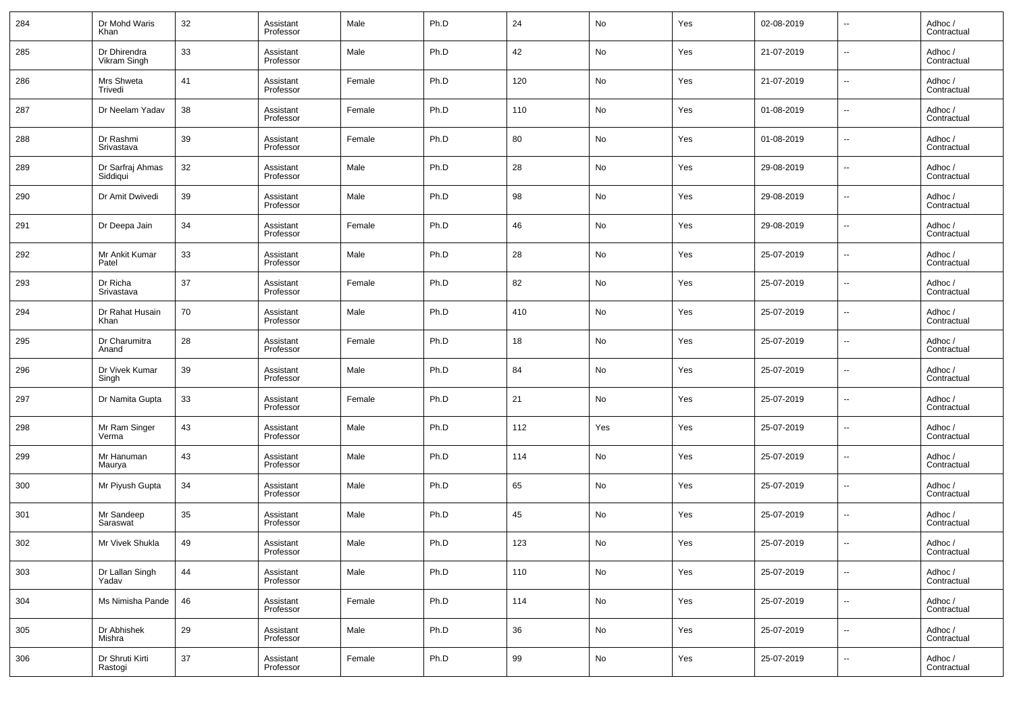| 284 | Dr Mohd Waris<br>Khan        | 32 | Assistant<br>Professor | Male   | Ph.D | 24  | No                           | Yes | 02-08-2019 | $\overline{\phantom{a}}$ | Adhoc /<br>Contractual |
|-----|------------------------------|----|------------------------|--------|------|-----|------------------------------|-----|------------|--------------------------|------------------------|
| 285 | Dr Dhirendra<br>Vikram Singh | 33 | Assistant<br>Professor | Male   | Ph.D | 42  | No                           | Yes | 21-07-2019 | $\overline{\phantom{a}}$ | Adhoc /<br>Contractual |
| 286 | Mrs Shweta<br>Trivedi        | 41 | Assistant<br>Professor | Female | Ph.D | 120 | No                           | Yes | 21-07-2019 | $\overline{\phantom{a}}$ | Adhoc /<br>Contractual |
| 287 | Dr Neelam Yadav              | 38 | Assistant<br>Professor | Female | Ph.D | 110 | No                           | Yes | 01-08-2019 | $\overline{\phantom{a}}$ | Adhoc /<br>Contractual |
| 288 | Dr Rashmi<br>Srivastava      | 39 | Assistant<br>Professor | Female | Ph.D | 80  | No                           | Yes | 01-08-2019 | $\overline{\phantom{a}}$ | Adhoc /<br>Contractual |
| 289 | Dr Sarfraj Ahmas<br>Siddiqui | 32 | Assistant<br>Professor | Male   | Ph.D | 28  | No                           | Yes | 29-08-2019 | $\overline{\phantom{a}}$ | Adhoc /<br>Contractual |
| 290 | Dr Amit Dwivedi              | 39 | Assistant<br>Professor | Male   | Ph.D | 98  | No                           | Yes | 29-08-2019 | $\overline{\phantom{a}}$ | Adhoc /<br>Contractual |
| 291 | Dr Deepa Jain                | 34 | Assistant<br>Professor | Female | Ph.D | 46  | No                           | Yes | 29-08-2019 | $\overline{\phantom{a}}$ | Adhoc /<br>Contractual |
| 292 | Mr Ankit Kumar<br>Patel      | 33 | Assistant<br>Professor | Male   | Ph.D | 28  | No                           | Yes | 25-07-2019 | $\overline{\phantom{a}}$ | Adhoc /<br>Contractual |
| 293 | Dr Richa<br>Srivastava       | 37 | Assistant<br>Professor | Female | Ph.D | 82  | No                           | Yes | 25-07-2019 | $\overline{\phantom{a}}$ | Adhoc /<br>Contractual |
| 294 | Dr Rahat Husain<br>Khan      | 70 | Assistant<br>Professor | Male   | Ph.D | 410 | No                           | Yes | 25-07-2019 | $\overline{\phantom{a}}$ | Adhoc /<br>Contractual |
| 295 | Dr Charumitra<br>Anand       | 28 | Assistant<br>Professor | Female | Ph.D | 18  | No                           | Yes | 25-07-2019 | $\overline{\phantom{a}}$ | Adhoc /<br>Contractual |
| 296 | Dr Vivek Kumar<br>Singh      | 39 | Assistant<br>Professor | Male   | Ph.D | 84  | No                           | Yes | 25-07-2019 | $\overline{\phantom{a}}$ | Adhoc /<br>Contractual |
| 297 | Dr Namita Gupta              | 33 | Assistant<br>Professor | Female | Ph.D | 21  | No                           | Yes | 25-07-2019 | $\overline{\phantom{a}}$ | Adhoc /<br>Contractual |
| 298 | Mr Ram Singer<br>Verma       | 43 | Assistant<br>Professor | Male   | Ph.D | 112 | Yes                          | Yes | 25-07-2019 | $\overline{\phantom{a}}$ | Adhoc /<br>Contractual |
| 299 | Mr Hanuman<br>Maurya         | 43 | Assistant<br>Professor | Male   | Ph.D | 114 | No                           | Yes | 25-07-2019 | $\overline{\phantom{a}}$ | Adhoc /<br>Contractual |
| 300 | Mr Piyush Gupta              | 34 | Assistant<br>Professor | Male   | Ph.D | 65  | No                           | Yes | 25-07-2019 | $\overline{\phantom{a}}$ | Adhoc /<br>Contractual |
| 301 | Mr Sandeep<br>Saraswat       | 35 | Assistant<br>Professor | Male   | Ph.D | 45  | No                           | Yes | 25-07-2019 | $\overline{\phantom{a}}$ | Adhoc /<br>Contractual |
| 302 | Mr Vivek Shukla              | 49 | Assistant<br>Professor | Male   | Ph.D | 123 | No                           | Yes | 25-07-2019 | $\overline{\phantom{a}}$ | Adhoc /<br>Contractual |
| 303 | Dr Lallan Singh<br>Yadav     | 44 | Assistant<br>Professor | Male   | Ph.D | 110 | No                           | Yes | 25-07-2019 | ۰.                       | Adhoc /<br>Contractual |
| 304 | Ms Nimisha Pande             | 46 | Assistant<br>Professor | Female | Ph.D | 114 | ${\sf No}$                   | Yes | 25-07-2019 | ۰.                       | Adhoc /<br>Contractual |
| 305 | Dr Abhishek<br>Mishra        | 29 | Assistant<br>Professor | Male   | Ph.D | 36  | No                           | Yes | 25-07-2019 | $\overline{\phantom{a}}$ | Adhoc /<br>Contractual |
| 306 | Dr Shruti Kirti<br>Rastogi   | 37 | Assistant<br>Professor | Female | Ph.D | 99  | $\operatorname{\mathsf{No}}$ | Yes | 25-07-2019 | $\overline{\phantom{a}}$ | Adhoc /<br>Contractual |